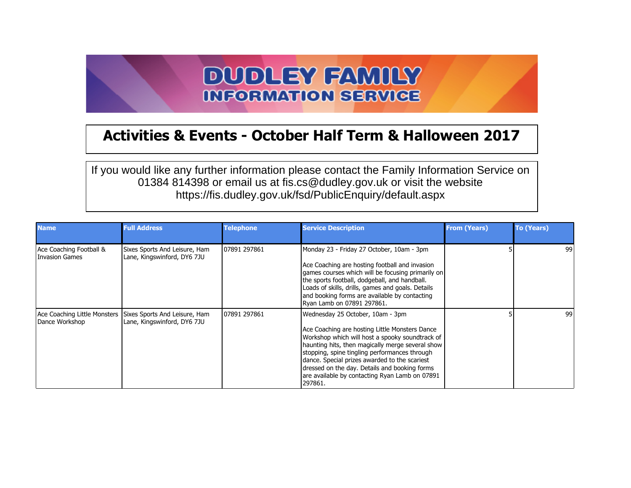## **DUDLEY FAMILY INFORMATION SERVICE**

## **Activities & Events - October Half Term & Halloween 2017**

If you would like any further information please contact the Family Information Service on 01384 814398 or email us at fis.cs@dudley.gov.uk or visit the website https://fis.dudley.gov.uk/fsd/PublicEnquiry/default.aspx

| <b>Name</b>                               | <b>Full Address</b>                                                                       | <b>Telephone</b> | <b>Service Description</b>                                                                                                                                                                                                                                                                                                                                                                                | <b>From (Years)</b> | <b>To (Years)</b> |
|-------------------------------------------|-------------------------------------------------------------------------------------------|------------------|-----------------------------------------------------------------------------------------------------------------------------------------------------------------------------------------------------------------------------------------------------------------------------------------------------------------------------------------------------------------------------------------------------------|---------------------|-------------------|
| Ace Coaching Football &<br>Invasion Games | Sixes Sports And Leisure, Ham<br>Lane, Kingswinford, DY6 7JU                              | 107891 297861    | Monday 23 - Friday 27 October, 10am - 3pm<br>Ace Coaching are hosting football and invasion<br>games courses which will be focusing primarily on<br>the sports football, dodgeball, and handball.<br>Loads of skills, drills, games and goals. Details<br>and booking forms are available by contacting<br>Ryan Lamb on 07891 297861.                                                                     |                     | 99                |
| Dance Workshop                            | Ace Coaching Little Monsters Sixes Sports And Leisure, Ham<br>Lane, Kingswinford, DY6 7JU | 107891 297861    | Wednesday 25 October, 10am - 3pm<br>Ace Coaching are hosting Little Monsters Dance<br>Workshop which will host a spooky soundtrack of<br>haunting hits, then magically merge several show<br>stopping, spine tingling performances through<br>dance. Special prizes awarded to the scariest<br>dressed on the day. Details and booking forms<br>are available by contacting Ryan Lamb on 07891<br>297861. |                     | 99                |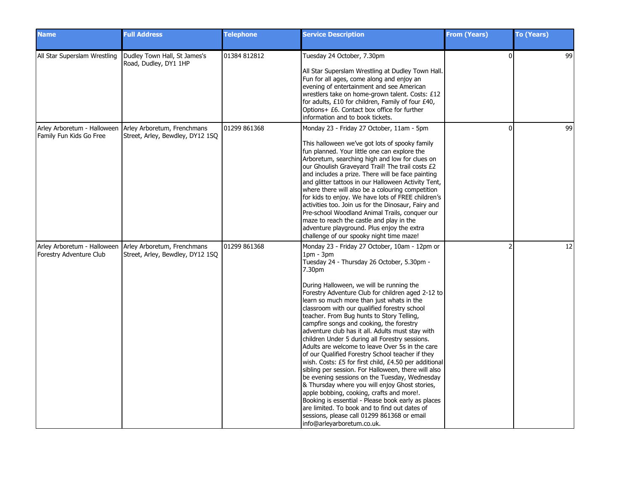| <b>Name</b>                  | <b>Full Address</b>                                                                         | <b>Telephone</b> | <b>Service Description</b>                                                                                                                                                                                                                                                                                                                                                                                                                                                                                                                                                                                                                                                                                                                                                                                                                                                                                                                                                                                                                                                   | <b>From (Years)</b>      | <b>To (Years)</b> |
|------------------------------|---------------------------------------------------------------------------------------------|------------------|------------------------------------------------------------------------------------------------------------------------------------------------------------------------------------------------------------------------------------------------------------------------------------------------------------------------------------------------------------------------------------------------------------------------------------------------------------------------------------------------------------------------------------------------------------------------------------------------------------------------------------------------------------------------------------------------------------------------------------------------------------------------------------------------------------------------------------------------------------------------------------------------------------------------------------------------------------------------------------------------------------------------------------------------------------------------------|--------------------------|-------------------|
| All Star Superslam Wrestling | Dudley Town Hall, St James's<br>Road, Dudley, DY1 1HP                                       | 01384 812812     | Tuesday 24 October, 7.30pm<br>All Star Superslam Wrestling at Dudley Town Hall.<br>Fun for all ages, come along and enjoy an<br>evening of entertainment and see American<br>wrestlers take on home-grown talent. Costs: £12<br>for adults, £10 for children, Family of four £40,<br>Options+ £6. Contact box office for further<br>information and to book tickets.                                                                                                                                                                                                                                                                                                                                                                                                                                                                                                                                                                                                                                                                                                         | $\Omega$                 | 99                |
| Family Fun Kids Go Free      | Arley Arboretum - Halloween Arley Arboretum, Frenchmans<br>Street, Arley, Bewdley, DY12 1SQ | 01299 861368     | Monday 23 - Friday 27 October, 11am - 5pm<br>This halloween we've got lots of spooky family<br>fun planned. Your little one can explore the<br>Arboretum, searching high and low for clues on<br>our Ghoulish Graveyard Trail! The trail costs £2<br>and includes a prize. There will be face painting<br>and glitter tattoos in our Halloween Activity Tent,<br>where there will also be a colouring competition<br>for kids to enjoy. We have lots of FREE children's<br>activities too. Join us for the Dinosaur, Fairy and<br>Pre-school Woodland Animal Trails, conquer our<br>maze to reach the castle and play in the<br>adventure playground. Plus enjoy the extra<br>challenge of our spooky night time maze!                                                                                                                                                                                                                                                                                                                                                       | $\Omega$                 | 99                |
| Forestry Adventure Club      | Arley Arboretum - Halloween Arley Arboretum, Frenchmans<br>Street, Arley, Bewdley, DY12 1SQ | 01299 861368     | Monday 23 - Friday 27 October, 10am - 12pm or<br>$1pm - 3pm$<br>Tuesday 24 - Thursday 26 October, 5.30pm -<br>7.30pm<br>During Halloween, we will be running the<br>Forestry Adventure Club for children aged 2-12 to<br>learn so much more than just whats in the<br>classroom with our qualified forestry school<br>teacher. From Bug hunts to Story Telling,<br>campfire songs and cooking, the forestry<br>adventure club has it all. Adults must stay with<br>children Under 5 during all Forestry sessions.<br>Adults are welcome to leave Over 5s in the care<br>of our Qualified Forestry School teacher if they<br>wish. Costs: £5 for first child, £4.50 per additional<br>sibling per session. For Halloween, there will also<br>be evening sessions on the Tuesday, Wednesday<br>& Thursday where you will enjoy Ghost stories,<br>apple bobbing, cooking, crafts and more!.<br>Booking is essential - Please book early as places<br>are limited. To book and to find out dates of<br>sessions, please call 01299 861368 or email<br>info@arleyarboretum.co.uk. | $\overline{\phantom{a}}$ | 12                |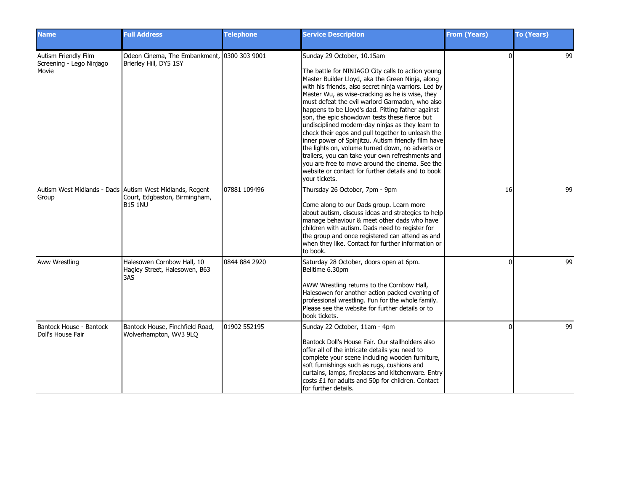| <b>Name</b>                                               | <b>Full Address</b>                                                                                         | <b>Telephone</b> | <b>Service Description</b>                                                                                                                                                                                                                                                                                                                                                                                                                                                                                                                                                                                                                                                                                                                                                                                | <b>From (Years)</b> | <b>To (Years)</b> |
|-----------------------------------------------------------|-------------------------------------------------------------------------------------------------------------|------------------|-----------------------------------------------------------------------------------------------------------------------------------------------------------------------------------------------------------------------------------------------------------------------------------------------------------------------------------------------------------------------------------------------------------------------------------------------------------------------------------------------------------------------------------------------------------------------------------------------------------------------------------------------------------------------------------------------------------------------------------------------------------------------------------------------------------|---------------------|-------------------|
| Autism Friendly Film<br>Screening - Lego Ninjago<br>Movie | Odeon Cinema, The Embankment, 0300 303 9001<br>Brierley Hill, DY5 1SY                                       |                  | Sunday 29 October, 10.15am<br>The battle for NINJAGO City calls to action young<br>Master Builder Lloyd, aka the Green Ninja, along<br>with his friends, also secret ninja warriors. Led by<br>Master Wu, as wise-cracking as he is wise, they<br>must defeat the evil warlord Garmadon, who also<br>happens to be Lloyd's dad. Pitting father against<br>son, the epic showdown tests these fierce but<br>undisciplined modern-day ninjas as they learn to<br>check their egos and pull together to unleash the<br>inner power of Spinjitzu. Autism friendly film have<br>the lights on, volume turned down, no adverts or<br>trailers, you can take your own refreshments and<br>you are free to move around the cinema. See the<br>website or contact for further details and to book<br>your tickets. | $\Omega$            | 99                |
| Group                                                     | Autism West Midlands - Dads Autism West Midlands, Regent<br>Court, Edgbaston, Birmingham,<br><b>B15 1NU</b> | 07881 109496     | Thursday 26 October, 7pm - 9pm<br>Come along to our Dads group. Learn more<br>about autism, discuss ideas and strategies to help<br>manage behaviour & meet other dads who have<br>children with autism. Dads need to register for<br>the group and once registered can attend as and<br>when they like. Contact for further information or<br>to book.                                                                                                                                                                                                                                                                                                                                                                                                                                                   | 16                  | 99                |
| <b>Aww Wrestling</b>                                      | Halesowen Cornbow Hall, 10<br>Hagley Street, Halesowen, B63<br>3AS                                          | 0844 884 2920    | Saturday 28 October, doors open at 6pm.<br>Belltime 6.30pm<br>AWW Wrestling returns to the Cornbow Hall,<br>Halesowen for another action packed evening of<br>professional wrestling. Fun for the whole family.<br>Please see the website for further details or to<br>book tickets.                                                                                                                                                                                                                                                                                                                                                                                                                                                                                                                      | $\Omega$            | 99                |
| Bantock House - Bantock<br>Doll's House Fair              | Bantock House, Finchfield Road,<br>Wolverhampton, WV3 9LQ                                                   | 01902 552195     | Sunday 22 October, 11am - 4pm<br>Bantock Doll's House Fair. Our stallholders also<br>offer all of the intricate details you need to<br>complete your scene including wooden furniture,<br>soft furnishings such as rugs, cushions and<br>curtains, lamps, fireplaces and kitchenware. Entry<br>costs £1 for adults and 50p for children. Contact<br>for further details.                                                                                                                                                                                                                                                                                                                                                                                                                                  | n                   | 99                |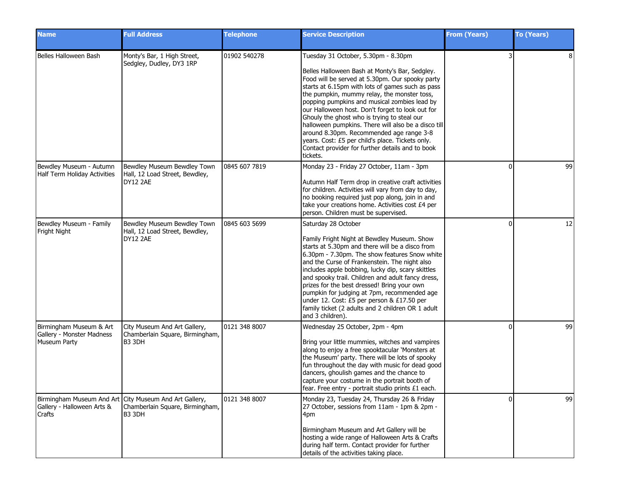| <b>Name</b>                                                          | <b>Full Address</b>                                                                                 | <b>Telephone</b> | <b>Service Description</b>                                                                                                                                                                                                                                                                                                                                                                                                                                                                                                                                                                                            | <b>From (Years)</b> | <b>To (Years)</b> |
|----------------------------------------------------------------------|-----------------------------------------------------------------------------------------------------|------------------|-----------------------------------------------------------------------------------------------------------------------------------------------------------------------------------------------------------------------------------------------------------------------------------------------------------------------------------------------------------------------------------------------------------------------------------------------------------------------------------------------------------------------------------------------------------------------------------------------------------------------|---------------------|-------------------|
| Belles Halloween Bash                                                | Monty's Bar, 1 High Street,<br>Sedgley, Dudley, DY3 1RP                                             | 01902 540278     | Tuesday 31 October, 5.30pm - 8.30pm<br>Belles Halloween Bash at Monty's Bar, Sedgley.<br>Food will be served at 5.30pm. Our spooky party<br>starts at 6.15pm with lots of games such as pass<br>the pumpkin, mummy relay, the monster toss,<br>popping pumpkins and musical zombies lead by<br>our Halloween host. Don't forget to look out for<br>Ghouly the ghost who is trying to steal our<br>halloween pumpkins. There will also be a disco till<br>around 8.30pm. Recommended age range 3-8<br>years. Cost: £5 per child's place. Tickets only.<br>Contact provider for further details and to book<br>tickets. |                     | 8                 |
| Bewdley Museum - Autumn<br>Half Term Holiday Activities              | Bewdley Museum Bewdley Town<br>Hall, 12 Load Street, Bewdley,<br>DY12 2AE                           | 0845 607 7819    | Monday 23 - Friday 27 October, 11am - 3pm<br>Autumn Half Term drop in creative craft activities<br>for children. Activities will vary from day to day,<br>no booking required just pop along, join in and<br>take your creations home. Activities cost £4 per<br>person. Children must be supervised.                                                                                                                                                                                                                                                                                                                 | $\Omega$            | 99                |
| Bewdley Museum - Family<br>Fright Night                              | Bewdley Museum Bewdley Town<br>Hall, 12 Load Street, Bewdley,<br>DY12 2AE                           | 0845 603 5699    | Saturday 28 October<br>Family Fright Night at Bewdley Museum. Show<br>starts at 5.30pm and there will be a disco from<br>6.30pm - 7.30pm. The show features Snow white<br>and the Curse of Frankenstein. The night also<br>includes apple bobbing, lucky dip, scary skittles<br>and spooky trail. Children and adult fancy dress,<br>prizes for the best dressed! Bring your own<br>pumpkin for judging at 7pm, recommended age<br>under 12. Cost: £5 per person & £17.50 per<br>family ticket (2 adults and 2 children OR 1 adult<br>and 3 children).                                                                | $\Omega$            | 12                |
| Birmingham Museum & Art<br>Gallery - Monster Madness<br>Museum Party | City Museum And Art Gallery,<br>Chamberlain Square, Birmingham,<br><b>B3 3DH</b>                    | 0121 348 8007    | Wednesday 25 October, 2pm - 4pm<br>Bring your little mummies, witches and vampires<br>along to enjoy a free spooktacular 'Monsters at<br>the Museum' party. There will be lots of spooky<br>fun throughout the day with music for dead good<br>dancers, ghoulish games and the chance to<br>capture your costume in the portrait booth of<br>fear. Free entry - portrait studio prints £1 each.                                                                                                                                                                                                                       | $\Omega$            | 99                |
| Gallery - Halloween Arts &<br><b>Crafts</b>                          | Birmingham Museum And Art City Museum And Art Gallery,<br>Chamberlain Square, Birmingham,<br>B3 3DH | 0121 348 8007    | Monday 23, Tuesday 24, Thursday 26 & Friday<br>27 October, sessions from 11am - 1pm & 2pm -<br>4pm<br>Birmingham Museum and Art Gallery will be<br>hosting a wide range of Halloween Arts & Crafts<br>during half term. Contact provider for further<br>details of the activities taking place.                                                                                                                                                                                                                                                                                                                       | $\Omega$            | 99                |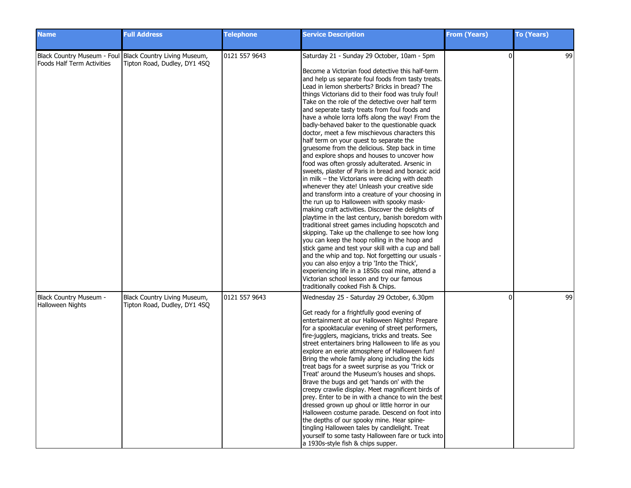| <b>Name</b>                                | <b>Full Address</b>                                                                      | <b>Telephone</b> | <b>Service Description</b>                                                                                                                                                                                                                                                                                                                                                                                                                                                                                                                                                                                                                                                                                                                                                                                                                                                                                                                                                                                                                                                                                                                                                                                                                                                                                                                                                                                                                                                                                                                              | <b>From (Years)</b> | <b>To (Years)</b> |
|--------------------------------------------|------------------------------------------------------------------------------------------|------------------|---------------------------------------------------------------------------------------------------------------------------------------------------------------------------------------------------------------------------------------------------------------------------------------------------------------------------------------------------------------------------------------------------------------------------------------------------------------------------------------------------------------------------------------------------------------------------------------------------------------------------------------------------------------------------------------------------------------------------------------------------------------------------------------------------------------------------------------------------------------------------------------------------------------------------------------------------------------------------------------------------------------------------------------------------------------------------------------------------------------------------------------------------------------------------------------------------------------------------------------------------------------------------------------------------------------------------------------------------------------------------------------------------------------------------------------------------------------------------------------------------------------------------------------------------------|---------------------|-------------------|
| Foods Half Term Activities                 | Black Country Museum - Foul Black Country Living Museum,<br>Tipton Road, Dudley, DY1 4SQ | 0121 557 9643    | Saturday 21 - Sunday 29 October, 10am - 5pm<br>Become a Victorian food detective this half-term<br>and help us separate foul foods from tasty treats.<br>Lead in lemon sherberts? Bricks in bread? The<br>things Victorians did to their food was truly foul!<br>Take on the role of the detective over half term<br>and seperate tasty treats from foul foods and<br>have a whole lorra loffs along the way! From the<br>badly-behaved baker to the questionable quack<br>doctor, meet a few mischievous characters this<br>half term on your quest to separate the<br>gruesome from the delicious. Step back in time<br>and explore shops and houses to uncover how<br>food was often grossly adulterated. Arsenic in<br>sweets, plaster of Paris in bread and boracic acid<br>in milk – the Victorians were dicing with death<br>whenever they ate! Unleash your creative side<br>and transform into a creature of your choosing in<br>the run up to Halloween with spooky mask-<br>making craft activities. Discover the delights of<br>playtime in the last century, banish boredom with<br>traditional street games including hopscotch and<br>skipping. Take up the challenge to see how long<br>you can keep the hoop rolling in the hoop and<br>stick game and test your skill with a cup and ball<br>and the whip and top. Not forgetting our usuals -<br>you can also enjoy a trip 'Into the Thick',<br>experiencing life in a 1850s coal mine, attend a<br>Victorian school lesson and try our famous<br>traditionally cooked Fish & Chips. | $\Omega$            | 99                |
| Black Country Museum -<br>Halloween Nights | Black Country Living Museum,<br>Tipton Road, Dudley, DY1 4SQ                             | 0121 557 9643    | Wednesday 25 - Saturday 29 October, 6.30pm<br>Get ready for a frightfully good evening of<br>entertainment at our Halloween Nights! Prepare<br>for a spooktacular evening of street performers,<br>fire-jugglers, magicians, tricks and treats. See<br>street entertainers bring Halloween to life as you<br>explore an eerie atmosphere of Halloween fun!<br>Bring the whole family along including the kids<br>treat bags for a sweet surprise as you 'Trick or<br>Treat' around the Museum's houses and shops.<br>Brave the bugs and get 'hands on' with the<br>creepy crawlie display. Meet magnificent birds of<br>prey. Enter to be in with a chance to win the best<br>dressed grown up ghoul or little horror in our<br>Halloween costume parade. Descend on foot into<br>the depths of our spooky mine. Hear spine-<br>tingling Halloween tales by candlelight. Treat<br>yourself to some tasty Halloween fare or tuck into<br>a 1930s-style fish & chips supper.                                                                                                                                                                                                                                                                                                                                                                                                                                                                                                                                                                              | ŋ                   | 99                |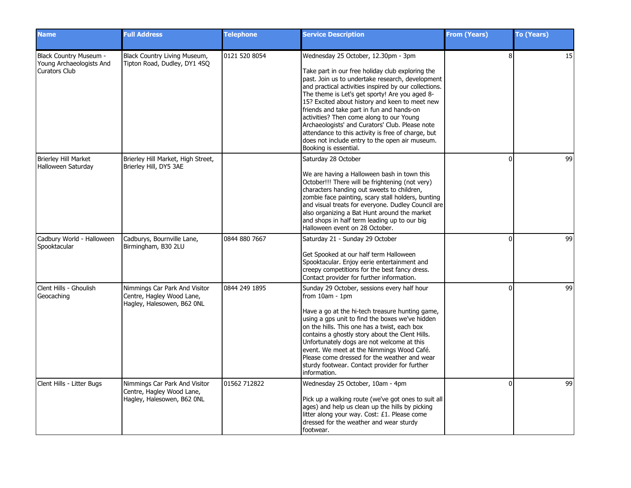| <b>Name</b>                                                                | <b>Full Address</b>                                                                      | <b>Telephone</b> | <b>Service Description</b>                                                                                                                                                                                                                                                                                                                                                                                                                                                                                                                                                            | <b>From (Years)</b> | <b>To (Years)</b> |
|----------------------------------------------------------------------------|------------------------------------------------------------------------------------------|------------------|---------------------------------------------------------------------------------------------------------------------------------------------------------------------------------------------------------------------------------------------------------------------------------------------------------------------------------------------------------------------------------------------------------------------------------------------------------------------------------------------------------------------------------------------------------------------------------------|---------------------|-------------------|
| Black Country Museum -<br>Young Archaeologists And<br><b>Curators Club</b> | Black Country Living Museum,<br>Tipton Road, Dudley, DY1 4SQ                             | 0121 520 8054    | Wednesday 25 October, 12.30pm - 3pm<br>Take part in our free holiday club exploring the<br>past. Join us to undertake research, development<br>and practical activities inspired by our collections.<br>The theme is Let's get sporty! Are you aged 8-<br>15? Excited about history and keen to meet new<br>friends and take part in fun and hands-on<br>activities? Then come along to our Young<br>Archaeologists' and Curators' Club. Please note<br>attendance to this activity is free of charge, but<br>does not include entry to the open air museum.<br>Booking is essential. | 8                   | 15                |
| Brierley Hill Market<br>Halloween Saturday                                 | Brierley Hill Market, High Street,<br>Brierley Hill, DY5 3AE                             |                  | Saturday 28 October<br>We are having a Halloween bash in town this<br>October!!! There will be frightening (not very)<br>characters handing out sweets to children,<br>zombie face painting, scary stall holders, bunting<br>and visual treats for everyone. Dudley Council are<br>also organizing a Bat Hunt around the market<br>and shops in half term leading up to our big<br>Halloween event on 28 October.                                                                                                                                                                     | $\Omega$            | 99                |
| Cadbury World - Halloween<br>Spooktacular                                  | Cadburys, Bournville Lane,<br>Birmingham, B30 2LU                                        | 0844 880 7667    | Saturday 21 - Sunday 29 October<br>Get Spooked at our half term Halloween<br>Spooktacular. Enjoy eerie entertainment and<br>creepy competitions for the best fancy dress.<br>Contact provider for further information.                                                                                                                                                                                                                                                                                                                                                                | $\Omega$            | 99                |
| Clent Hills - Ghoulish<br>Geocaching                                       | Nimmings Car Park And Visitor<br>Centre, Hagley Wood Lane,<br>Hagley, Halesowen, B62 ONL | 0844 249 1895    | Sunday 29 October, sessions every half hour<br>from 10am - 1pm<br>Have a go at the hi-tech treasure hunting game,<br>using a gps unit to find the boxes we've hidden<br>on the hills. This one has a twist, each box<br>contains a ghostly story about the Clent Hills.<br>Unfortunately dogs are not welcome at this<br>event. We meet at the Nimmings Wood Café.<br>Please come dressed for the weather and wear<br>sturdy footwear. Contact provider for further<br>information.                                                                                                   | $\Omega$            | 99                |
| Clent Hills - Litter Bugs                                                  | Nimmings Car Park And Visitor<br>Centre, Hagley Wood Lane,<br>Hagley, Halesowen, B62 ONL | 01562 712822     | Wednesday 25 October, 10am - 4pm<br>Pick up a walking route (we've got ones to suit all<br>ages) and help us clean up the hills by picking<br>litter along your way. Cost: £1. Please come<br>dressed for the weather and wear sturdy<br>footwear.                                                                                                                                                                                                                                                                                                                                    | $\Omega$            | 99                |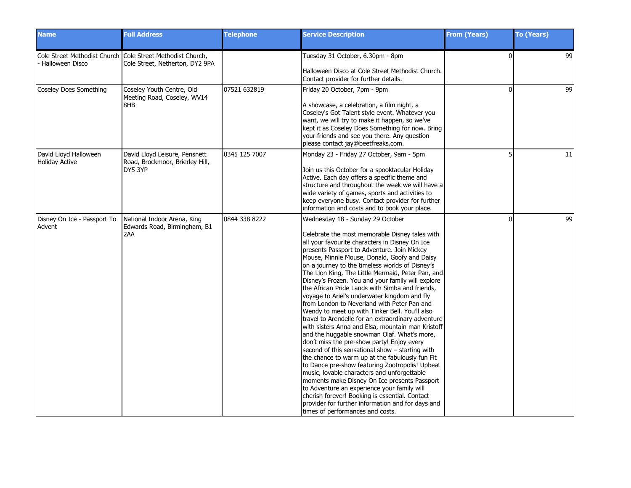| <b>Name</b>                                    | <b>Full Address</b>                                                                           | <b>Telephone</b> | <b>Service Description</b>                                                                                                                                                                                                                                                                                                                                                                                                                                                                                                                                                                                                                                                                                                                                                                                                                                                                                                                                                                                                                                                                                                                                                                                                                                     | <b>From (Years)</b> | <b>To (Years)</b> |
|------------------------------------------------|-----------------------------------------------------------------------------------------------|------------------|----------------------------------------------------------------------------------------------------------------------------------------------------------------------------------------------------------------------------------------------------------------------------------------------------------------------------------------------------------------------------------------------------------------------------------------------------------------------------------------------------------------------------------------------------------------------------------------------------------------------------------------------------------------------------------------------------------------------------------------------------------------------------------------------------------------------------------------------------------------------------------------------------------------------------------------------------------------------------------------------------------------------------------------------------------------------------------------------------------------------------------------------------------------------------------------------------------------------------------------------------------------|---------------------|-------------------|
| <b>Halloween Disco</b>                         | Cole Street Methodist Church Cole Street Methodist Church,<br>Cole Street, Netherton, DY2 9PA |                  | Tuesday 31 October, 6.30pm - 8pm<br>Halloween Disco at Cole Street Methodist Church.<br>Contact provider for further details.                                                                                                                                                                                                                                                                                                                                                                                                                                                                                                                                                                                                                                                                                                                                                                                                                                                                                                                                                                                                                                                                                                                                  | $\Omega$            | 99                |
| Coseley Does Something                         | Coseley Youth Centre, Old<br>Meeting Road, Coseley, WV14<br>8HB                               | 07521 632819     | Friday 20 October, 7pm - 9pm<br>A showcase, a celebration, a film night, a<br>Coseley's Got Talent style event. Whatever you<br>want, we will try to make it happen, so we've<br>kept it as Coseley Does Something for now. Bring<br>your friends and see you there. Any question<br>please contact jay@beetfreaks.com.                                                                                                                                                                                                                                                                                                                                                                                                                                                                                                                                                                                                                                                                                                                                                                                                                                                                                                                                        | $\Omega$            | 99                |
| David Lloyd Halloween<br><b>Holiday Active</b> | David Lloyd Leisure, Pensnett<br>Road, Brockmoor, Brierley Hill,<br>DY5 3YP                   | 0345 125 7007    | Monday 23 - Friday 27 October, 9am - 5pm<br>Join us this October for a spooktacular Holiday<br>Active. Each day offers a specific theme and<br>structure and throughout the week we will have a<br>wide variety of games, sports and activities to<br>keep everyone busy. Contact provider for further<br>information and costs and to book your place.                                                                                                                                                                                                                                                                                                                                                                                                                                                                                                                                                                                                                                                                                                                                                                                                                                                                                                        |                     | 11                |
| Disney On Ice - Passport To<br>Advent          | National Indoor Arena, King<br>Edwards Road, Birmingham, B1<br>2AA                            | 0844 338 8222    | Wednesday 18 - Sunday 29 October<br>Celebrate the most memorable Disney tales with<br>all your favourite characters in Disney On Ice<br>presents Passport to Adventure. Join Mickey<br>Mouse, Minnie Mouse, Donald, Goofy and Daisy<br>on a journey to the timeless worlds of Disney's<br>The Lion King, The Little Mermaid, Peter Pan, and<br>Disney's Frozen. You and your family will explore<br>the African Pride Lands with Simba and friends,<br>voyage to Ariel's underwater kingdom and fly<br>from London to Neverland with Peter Pan and<br>Wendy to meet up with Tinker Bell. You'll also<br>travel to Arendelle for an extraordinary adventure<br>with sisters Anna and Elsa, mountain man Kristoff<br>and the huggable snowman Olaf. What's more,<br>don't miss the pre-show party! Enjoy every<br>second of this sensational show - starting with<br>the chance to warm up at the fabulously fun Fit<br>to Dance pre-show featuring Zootropolis! Upbeat<br>music, lovable characters and unforgettable<br>moments make Disney On Ice presents Passport<br>to Adventure an experience your family will<br>cherish forever! Booking is essential. Contact<br>provider for further information and for days and<br>times of performances and costs. | $\Omega$            | 99                |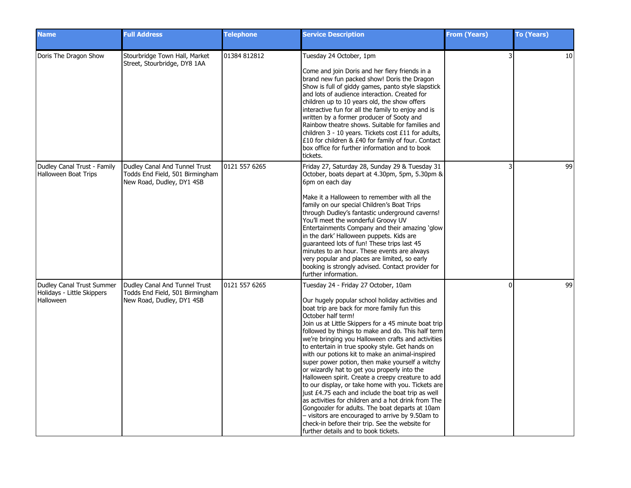| <b>Name</b>                                                          | <b>Full Address</b>                                                                           | <b>Telephone</b> | <b>Service Description</b>                                                                                                                                                                                                                                                                                                                                                                                                                                                                                                                                                                                                                                                                                                                                                                                                                                                                                                                                         | <b>From (Years)</b> | <b>To (Years)</b> |
|----------------------------------------------------------------------|-----------------------------------------------------------------------------------------------|------------------|--------------------------------------------------------------------------------------------------------------------------------------------------------------------------------------------------------------------------------------------------------------------------------------------------------------------------------------------------------------------------------------------------------------------------------------------------------------------------------------------------------------------------------------------------------------------------------------------------------------------------------------------------------------------------------------------------------------------------------------------------------------------------------------------------------------------------------------------------------------------------------------------------------------------------------------------------------------------|---------------------|-------------------|
| Doris The Dragon Show                                                | Stourbridge Town Hall, Market<br>Street, Stourbridge, DY8 1AA                                 | 01384 812812     | Tuesday 24 October, 1pm<br>Come and join Doris and her fiery friends in a<br>brand new fun packed show! Doris the Dragon<br>Show is full of giddy games, panto style slapstick<br>and lots of audience interaction. Created for<br>children up to 10 years old, the show offers<br>interactive fun for all the family to enjoy and is<br>written by a former producer of Sooty and<br>Rainbow theatre shows. Suitable for families and<br>children $3 - 10$ years. Tickets cost £11 for adults,<br>£10 for children & £40 for family of four. Contact<br>box office for further information and to book<br>tickets.                                                                                                                                                                                                                                                                                                                                                | 3                   | 10                |
| Dudley Canal Trust - Family<br>Halloween Boat Trips                  | Dudley Canal And Tunnel Trust<br>Todds End Field, 501 Birmingham<br>New Road, Dudley, DY1 4SB | 0121 557 6265    | Friday 27, Saturday 28, Sunday 29 & Tuesday 31<br>October, boats depart at 4.30pm, 5pm, 5.30pm &<br>6pm on each day<br>Make it a Halloween to remember with all the<br>family on our special Children's Boat Trips<br>through Dudley's fantastic underground caverns!<br>You'll meet the wonderful Groovy UV<br>Entertainments Company and their amazing 'glow<br>in the dark' Halloween puppets. Kids are<br>guaranteed lots of fun! These trips last 45<br>minutes to an hour. These events are always<br>very popular and places are limited, so early<br>booking is strongly advised. Contact provider for<br>further information.                                                                                                                                                                                                                                                                                                                             | 3                   | 99                |
| Dudley Canal Trust Summer<br>Holidays - Little Skippers<br>Halloween | Dudley Canal And Tunnel Trust<br>Todds End Field, 501 Birmingham<br>New Road, Dudley, DY1 4SB | 0121 557 6265    | Tuesday 24 - Friday 27 October, 10am<br>Our hugely popular school holiday activities and<br>boat trip are back for more family fun this<br>October half term!<br>Join us at Little Skippers for a 45 minute boat trip<br>followed by things to make and do. This half term<br>we're bringing you Halloween crafts and activities<br>to entertain in true spooky style. Get hands on<br>with our potions kit to make an animal-inspired<br>super power potion, then make yourself a witchy<br>or wizardly hat to get you properly into the<br>Halloween spirit. Create a creepy creature to add<br>to our display, or take home with you. Tickets are<br>just £4.75 each and include the boat trip as well<br>as activities for children and a hot drink from The<br>Gongoozler for adults. The boat departs at 10am<br>- visitors are encouraged to arrive by 9.50am to<br>check-in before their trip. See the website for<br>further details and to book tickets. | <sup>0</sup>        | 99                |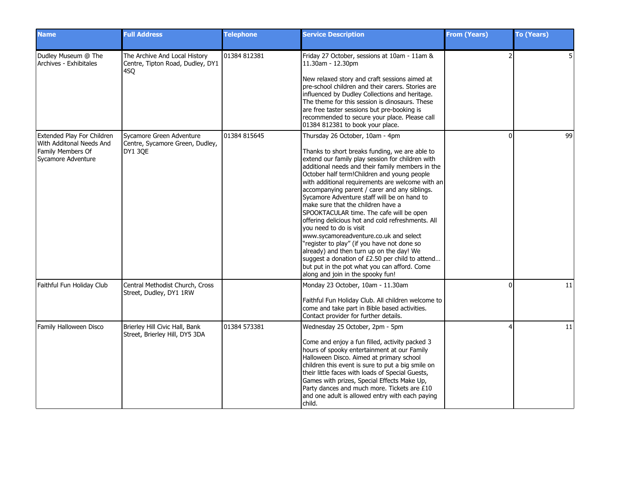| <b>Name</b>                                                                                       | <b>Full Address</b>                                                           | <b>Telephone</b> | <b>Service Description</b>                                                                                                                                                                                                                                                                                                                                                                                                                                                                                                                                                                                                                                                                                                                                                                                                                   | <b>From (Years)</b> | <b>To (Years)</b> |
|---------------------------------------------------------------------------------------------------|-------------------------------------------------------------------------------|------------------|----------------------------------------------------------------------------------------------------------------------------------------------------------------------------------------------------------------------------------------------------------------------------------------------------------------------------------------------------------------------------------------------------------------------------------------------------------------------------------------------------------------------------------------------------------------------------------------------------------------------------------------------------------------------------------------------------------------------------------------------------------------------------------------------------------------------------------------------|---------------------|-------------------|
| Dudley Museum @ The<br>Archives - Exhibitales                                                     | The Archive And Local History<br>Centre, Tipton Road, Dudley, DY1<br>4SQ      | 01384 812381     | Friday 27 October, sessions at 10am - 11am &<br>11.30am - 12.30pm<br>New relaxed story and craft sessions aimed at<br>pre-school children and their carers. Stories are<br>influenced by Dudley Collections and heritage.<br>The theme for this session is dinosaurs. These<br>are free taster sessions but pre-booking is<br>recommended to secure your place. Please call<br>01384 812381 to book your place.                                                                                                                                                                                                                                                                                                                                                                                                                              |                     | 5                 |
| Extended Play For Children<br>With Additonal Needs And<br>Family Members Of<br>Sycamore Adventure | Sycamore Green Adventure<br>Centre, Sycamore Green, Dudley,<br><b>DY1 30E</b> | 01384 815645     | Thursday 26 October, 10am - 4pm<br>Thanks to short breaks funding, we are able to<br>extend our family play session for children with<br>additional needs and their family members in the<br>October half term! Children and young people<br>with additional requirements are welcome with an<br>accompanying parent / carer and any siblings.<br>Sycamore Adventure staff will be on hand to<br>make sure that the children have a<br>SPOOKTACULAR time. The cafe will be open<br>offering delicious hot and cold refreshments. All<br>you need to do is visit<br>www.sycamoreadventure.co.uk and select<br>"register to play" (if you have not done so<br>already) and then turn up on the day! We<br>suggest a donation of £2.50 per child to attend<br>but put in the pot what you can afford. Come<br>along and join in the spooky fun! | $\Omega$            | 99                |
| Faithful Fun Holiday Club                                                                         | Central Methodist Church, Cross<br>Street, Dudley, DY1 1RW                    |                  | Monday 23 October, 10am - 11.30am<br>Faithful Fun Holiday Club. All children welcome to<br>come and take part in Bible based activities.<br>Contact provider for further details.                                                                                                                                                                                                                                                                                                                                                                                                                                                                                                                                                                                                                                                            | $\Omega$            | 11                |
| Family Halloween Disco                                                                            | Brierley Hill Civic Hall, Bank<br>Street, Brierley Hill, DY5 3DA              | 01384 573381     | Wednesday 25 October, 2pm - 5pm<br>Come and enjoy a fun filled, activity packed 3<br>hours of spooky entertainment at our Family<br>Halloween Disco. Aimed at primary school<br>children this event is sure to put a big smile on<br>their little faces with loads of Special Guests,<br>Games with prizes, Special Effects Make Up,<br>Party dances and much more. Tickets are £10<br>and one adult is allowed entry with each paying<br>lchild.                                                                                                                                                                                                                                                                                                                                                                                            | 4                   | 11                |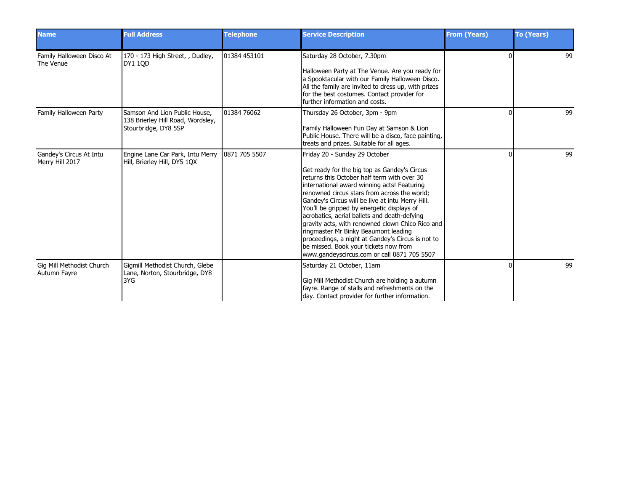| <b>Name</b>                                | <b>Full Address</b>                                                                        | <b>Telephone</b> | <b>Service Description</b>                                                                                                                                                                                                                                                                                                                                                                                                                                                                                                                                                                                             | <b>From (Years)</b> | <b>To (Years)</b> |
|--------------------------------------------|--------------------------------------------------------------------------------------------|------------------|------------------------------------------------------------------------------------------------------------------------------------------------------------------------------------------------------------------------------------------------------------------------------------------------------------------------------------------------------------------------------------------------------------------------------------------------------------------------------------------------------------------------------------------------------------------------------------------------------------------------|---------------------|-------------------|
| Family Halloween Disco At<br>The Venue     | 170 - 173 High Street, , Dudley,<br><b>DY1 10D</b>                                         | 01384 453101     | Saturday 28 October, 7.30pm<br>Halloween Party at The Venue. Are you ready for<br>a Spooktacular with our Family Halloween Disco.<br>All the family are invited to dress up, with prizes<br>for the best costumes. Contact provider for<br>further information and costs.                                                                                                                                                                                                                                                                                                                                              |                     | 99                |
| <b>Family Halloween Party</b>              | Samson And Lion Public House,<br>138 Brierley Hill Road, Wordsley,<br>Stourbridge, DY8 5SP | 01384 76062      | Thursday 26 October, 3pm - 9pm<br>Family Halloween Fun Day at Samson & Lion<br>Public House. There will be a disco, face painting,<br>treats and prizes. Suitable for all ages.                                                                                                                                                                                                                                                                                                                                                                                                                                        |                     | 99                |
| Gandey's Circus At Intu<br>Merry Hill 2017 | Engine Lane Car Park, Intu Merry<br>Hill, Brierley Hill, DY5 1QX                           | 0871 705 5507    | Friday 20 - Sunday 29 October<br>Get ready for the big top as Gandey's Circus<br>returns this October half term with over 30<br>international award winning acts! Featuring<br>renowned circus stars from across the world;<br>Gandey's Circus will be live at intu Merry Hill.<br>You'll be gripped by energetic displays of<br>acrobatics, aerial ballets and death-defying<br>gravity acts, with renowned clown Chico Rico and<br>ringmaster Mr Binky Beaumont leading<br>proceedings, a night at Gandey's Circus is not to<br>be missed. Book your tickets now from<br>www.gandeyscircus.com or call 0871 705 5507 | n                   | 99                |
| Gig Mill Methodist Church<br>Autumn Fayre  | Gigmill Methodist Church, Glebe<br>Lane, Norton, Stourbridge, DY8<br>3YG                   |                  | Saturday 21 October, 11am<br>Gig Mill Methodist Church are holding a autumn<br>fayre. Range of stalls and refreshments on the<br>day. Contact provider for further information.                                                                                                                                                                                                                                                                                                                                                                                                                                        |                     | 99                |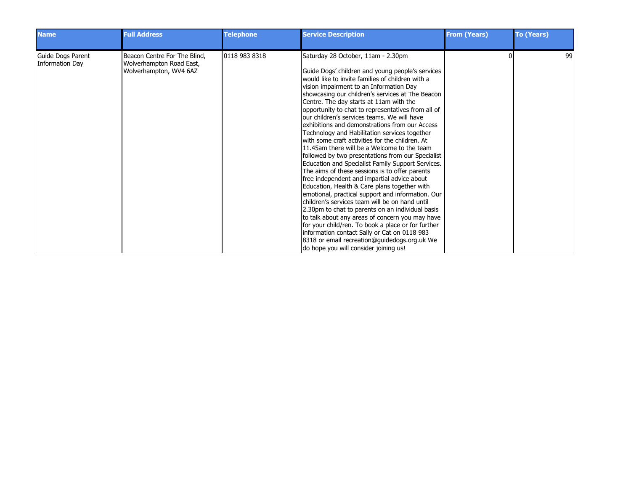| <b>Name</b>                          | <b>Full Address</b>                                                                | <b>Telephone</b> | <b>Service Description</b>                                                                                                                                                                                                                                                                                                                                                                                                                                                                                                                                                                                                                                                                                                                                                                                                                                                                                                                                                                                                                                                                                                                                                                                                                                               | <b>From (Years)</b> | <b>To (Years)</b> |
|--------------------------------------|------------------------------------------------------------------------------------|------------------|--------------------------------------------------------------------------------------------------------------------------------------------------------------------------------------------------------------------------------------------------------------------------------------------------------------------------------------------------------------------------------------------------------------------------------------------------------------------------------------------------------------------------------------------------------------------------------------------------------------------------------------------------------------------------------------------------------------------------------------------------------------------------------------------------------------------------------------------------------------------------------------------------------------------------------------------------------------------------------------------------------------------------------------------------------------------------------------------------------------------------------------------------------------------------------------------------------------------------------------------------------------------------|---------------------|-------------------|
| Guide Dogs Parent<br>Information Day | Beacon Centre For The Blind,<br>Wolverhampton Road East,<br>Wolverhampton, WV4 6AZ | 0118 983 8318    | Saturday 28 October, 11am - 2.30pm<br>Guide Dogs' children and young people's services<br>would like to invite families of children with a<br>vision impairment to an Information Day<br>showcasing our children's services at The Beacon<br>Centre. The day starts at 11am with the<br>opportunity to chat to representatives from all of<br>lour children's services teams. We will have<br>exhibitions and demonstrations from our Access<br>Technology and Habilitation services together<br>with some craft activities for the children. At<br>11.45am there will be a Welcome to the team<br>followed by two presentations from our Specialist<br>Education and Specialist Family Support Services.<br>The aims of these sessions is to offer parents<br>free independent and impartial advice about<br>Education, Health & Care plans together with<br>emotional, practical support and information. Our<br>Ichildren's services team will be on hand until<br>2.30pm to chat to parents on an individual basis<br>to talk about any areas of concern you may have<br>for your child/ren. To book a place or for further<br>information contact Sally or Cat on 0118 983<br>8318 or email recreation@guidedogs.org.uk We<br>do hope you will consider joining us! |                     | 99                |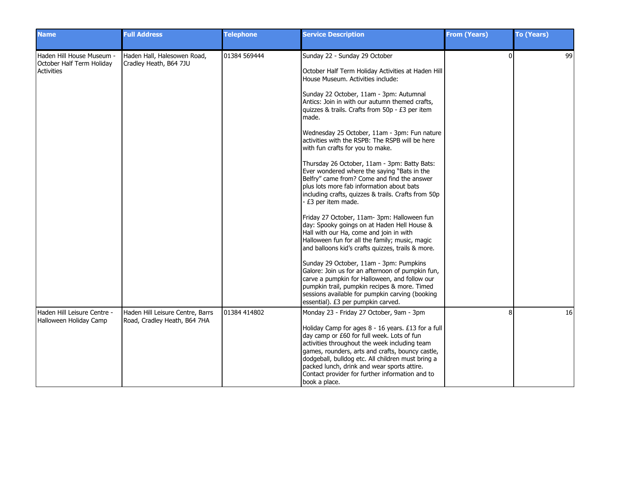| <b>Name</b>                                                          | <b>Full Address</b>                                              | <b>Telephone</b> | <b>Service Description</b>                                                                                                                                                                                                                                                                                                                                                                                                                                                                                                                                                                                                                                                                                                                                                                                                                                                                                                                                                                                                                                                                                                                                                                                                                 | <b>From (Years)</b> | <b>To (Years)</b> |
|----------------------------------------------------------------------|------------------------------------------------------------------|------------------|--------------------------------------------------------------------------------------------------------------------------------------------------------------------------------------------------------------------------------------------------------------------------------------------------------------------------------------------------------------------------------------------------------------------------------------------------------------------------------------------------------------------------------------------------------------------------------------------------------------------------------------------------------------------------------------------------------------------------------------------------------------------------------------------------------------------------------------------------------------------------------------------------------------------------------------------------------------------------------------------------------------------------------------------------------------------------------------------------------------------------------------------------------------------------------------------------------------------------------------------|---------------------|-------------------|
| Haden Hill House Museum -<br>October Half Term Holiday<br>Activities | Haden Hall, Halesowen Road,<br>Cradley Heath, B64 7JU            | 01384 569444     | Sunday 22 - Sunday 29 October<br>October Half Term Holiday Activities at Haden Hill<br>House Museum. Activities include:<br>Sunday 22 October, 11am - 3pm: Autumnal<br>Antics: Join in with our autumn themed crafts,<br>quizzes & trails. Crafts from 50p - £3 per item<br>made.<br>Wednesday 25 October, 11am - 3pm: Fun nature<br>activities with the RSPB: The RSPB will be here<br>with fun crafts for you to make.<br>Thursday 26 October, 11am - 3pm: Batty Bats:<br>Ever wondered where the saying "Bats in the<br>Belfry" came from? Come and find the answer<br>plus lots more fab information about bats<br>including crafts, quizzes & trails. Crafts from 50p<br>- £3 per item made.<br>Friday 27 October, 11am- 3pm: Halloween fun<br>day: Spooky goings on at Haden Hell House &<br>Hall with our Ha, come and join in with<br>Halloween fun for all the family; music, magic<br>and balloons kid's crafts quizzes, trails & more.<br>Sunday 29 October, 11am - 3pm: Pumpkins<br>Galore: Join us for an afternoon of pumpkin fun,<br>carve a pumpkin for Halloween, and follow our<br>pumpkin trail, pumpkin recipes & more. Timed<br>sessions available for pumpkin carving (booking<br>essential). £3 per pumpkin carved. | $\Omega$            | 99                |
| Haden Hill Leisure Centre -<br>Halloween Holiday Camp                | Haden Hill Leisure Centre, Barrs<br>Road, Cradley Heath, B64 7HA | 01384 414802     | Monday 23 - Friday 27 October, 9am - 3pm<br>Holiday Camp for ages 8 - 16 years. £13 for a full<br>day camp or £60 for full week. Lots of fun<br>activities throughout the week including team<br>games, rounders, arts and crafts, bouncy castle,<br>dodgeball, bulldog etc. All children must bring a<br>packed lunch, drink and wear sports attire.<br>Contact provider for further information and to<br>book a place.                                                                                                                                                                                                                                                                                                                                                                                                                                                                                                                                                                                                                                                                                                                                                                                                                  | 8                   | 16                |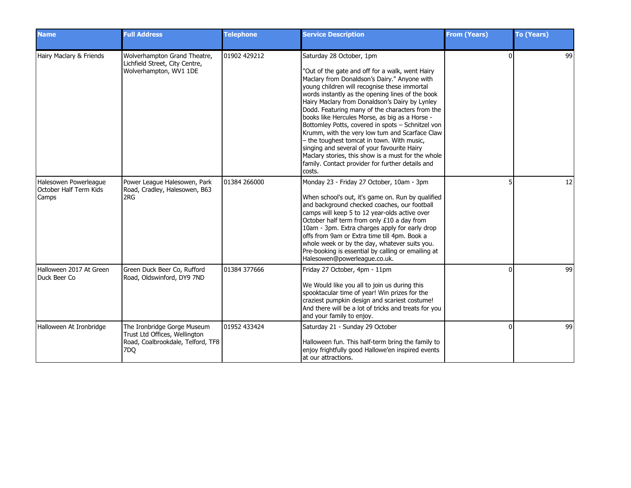| <b>Name</b>                                              | <b>Full Address</b>                                                                                      | <b>Telephone</b> | <b>Service Description</b>                                                                                                                                                                                                                                                                                                                                                                                                                                                                                                                                                                                                                                                                                     | <b>From (Years)</b> | <b>To (Years)</b> |
|----------------------------------------------------------|----------------------------------------------------------------------------------------------------------|------------------|----------------------------------------------------------------------------------------------------------------------------------------------------------------------------------------------------------------------------------------------------------------------------------------------------------------------------------------------------------------------------------------------------------------------------------------------------------------------------------------------------------------------------------------------------------------------------------------------------------------------------------------------------------------------------------------------------------------|---------------------|-------------------|
| Hairy Maclary & Friends                                  | Wolverhampton Grand Theatre,<br>Lichfield Street, City Centre,<br>Wolverhampton, WV1 1DE                 | 01902 429212     | Saturday 28 October, 1pm<br>"Out of the gate and off for a walk, went Hairy<br>Maclary from Donaldson's Dairy." Anyone with<br>young children will recognise these immortal<br>words instantly as the opening lines of the book<br>Hairy Maclary from Donaldson's Dairy by Lynley<br>Dodd. Featuring many of the characters from the<br>books like Hercules Morse, as big as a Horse -<br>Bottomley Potts, covered in spots - Schnitzel von<br>Krumm, with the very low tum and Scarface Claw<br>- the toughest tomcat in town. With music,<br>singing and several of your favourite Hairy<br>Maclary stories, this show is a must for the whole<br>family. Contact provider for further details and<br>costs. | $\Omega$            | 99                |
| Halesowen Powerleague<br>October Half Term Kids<br>Camps | Power League Halesowen, Park<br>Road, Cradley, Halesowen, B63<br>2RG                                     | 01384 266000     | Monday 23 - Friday 27 October, 10am - 3pm<br>When school's out, it's game on. Run by qualified<br>and background checked coaches, our football<br>camps will keep 5 to 12 year-olds active over<br>October half term from only £10 a day from<br>10am - 3pm. Extra charges apply for early drop<br>offs from 9am or Extra time till 4pm. Book a<br>whole week or by the day, whatever suits you.<br>Pre-booking is essential by calling or emailing at<br>Halesowen@powerleague.co.uk.                                                                                                                                                                                                                         |                     | 12                |
| Halloween 2017 At Green<br>Duck Beer Co                  | Green Duck Beer Co, Rufford<br>Road, Oldswinford, DY9 7ND                                                | 01384 377666     | Friday 27 October, 4pm - 11pm<br>We Would like you all to join us during this<br>spooktacular time of year! Win prizes for the<br>craziest pumpkin design and scariest costume!<br>And there will be a lot of tricks and treats for you<br>and your family to enjoy.                                                                                                                                                                                                                                                                                                                                                                                                                                           |                     | 99                |
| Halloween At Ironbridge                                  | The Ironbridge Gorge Museum<br>Trust Ltd Offices, Wellington<br>Road, Coalbrookdale, Telford, TF8<br>7DO | 01952 433424     | Saturday 21 - Sunday 29 October<br>Halloween fun. This half-term bring the family to<br>enjoy frightfully good Hallowe'en inspired events<br>at our attractions.                                                                                                                                                                                                                                                                                                                                                                                                                                                                                                                                               | $\Omega$            | 99                |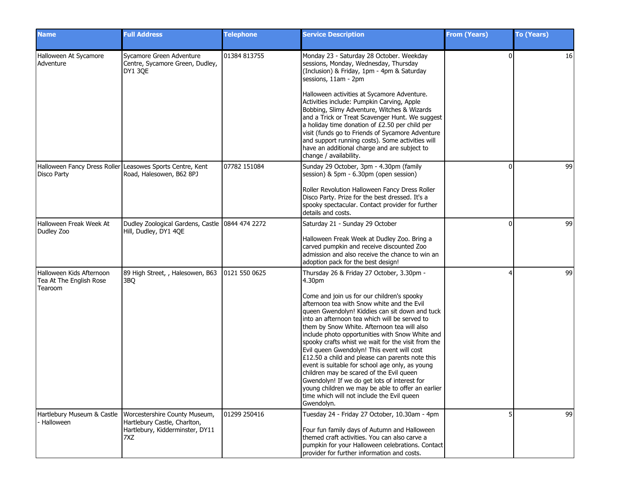| <b>Name</b>                                                    | <b>Full Address</b>                                                                                                                  | <b>Telephone</b> | <b>Service Description</b>                                                                                                                                                                                                                                                                                                                                                                                                                                                                                                                                                                                                                                                                                                                                                  | <b>From (Years)</b> | <b>To (Years)</b> |
|----------------------------------------------------------------|--------------------------------------------------------------------------------------------------------------------------------------|------------------|-----------------------------------------------------------------------------------------------------------------------------------------------------------------------------------------------------------------------------------------------------------------------------------------------------------------------------------------------------------------------------------------------------------------------------------------------------------------------------------------------------------------------------------------------------------------------------------------------------------------------------------------------------------------------------------------------------------------------------------------------------------------------------|---------------------|-------------------|
| Halloween At Sycamore<br>Adventure                             | Sycamore Green Adventure<br>Centre, Sycamore Green, Dudley,<br>DY1 30E                                                               | 01384 813755     | Monday 23 - Saturday 28 October. Weekday<br>sessions, Monday, Wednesday, Thursday<br>(Inclusion) & Friday, 1pm - 4pm & Saturday<br>sessions, 11am - 2pm<br>Halloween activities at Sycamore Adventure.<br>Activities include: Pumpkin Carving, Apple<br>Bobbing, Slimy Adventure, Witches & Wizards<br>and a Trick or Treat Scavenger Hunt. We suggest<br>a holiday time donation of £2.50 per child per<br>visit (funds go to Friends of Sycamore Adventure<br>and support running costs). Some activities will<br>have an additional charge and are subject to<br>change / availability.                                                                                                                                                                                  | $\Omega$            | 16                |
| <b>Disco Party</b>                                             | Halloween Fancy Dress Roller Leasowes Sports Centre, Kent<br>Road, Halesowen, B62 8PJ                                                | 07782 151084     | Sunday 29 October, 3pm - 4.30pm (family<br>session) & 5pm - 6.30pm (open session)<br>Roller Revolution Halloween Fancy Dress Roller<br>Disco Party. Prize for the best dressed. It's a<br>spooky spectacular. Contact provider for further<br>details and costs.                                                                                                                                                                                                                                                                                                                                                                                                                                                                                                            | $\Omega$            | 99                |
| Halloween Freak Week At<br>Dudley Zoo                          | Dudley Zoological Gardens, Castle 0844 474 2272<br>Hill, Dudley, DY1 4QE                                                             |                  | Saturday 21 - Sunday 29 October<br>Halloween Freak Week at Dudley Zoo. Bring a<br>carved pumpkin and receive discounted Zoo<br>admission and also receive the chance to win an<br>adoption pack for the best design!                                                                                                                                                                                                                                                                                                                                                                                                                                                                                                                                                        | $\Omega$            | 99                |
| Halloween Kids Afternoon<br>Tea At The English Rose<br>Tearoom | 89 High Street, , Halesowen, B63<br>3BQ                                                                                              | 0121 550 0625    | Thursday 26 & Friday 27 October, 3.30pm -<br>4.30pm<br>Come and join us for our children's spooky<br>afternoon tea with Snow white and the Evil<br>queen Gwendolyn! Kiddies can sit down and tuck<br>into an afternoon tea which will be served to<br>them by Snow White. Afternoon tea will also<br>include photo opportunities with Snow White and<br>spooky crafts whist we wait for the visit from the<br>Evil queen Gwendolyn! This event will cost<br>£12.50 a child and please can parents note this<br>event is suitable for school age only, as young<br>children may be scared of the Evil queen<br>Gwendolyn! If we do get lots of interest for<br>young children we may be able to offer an earlier<br>time which will not include the Evil queen<br>Gwendolyn. |                     | 99                |
| Halloween                                                      | Hartlebury Museum & Castle   Worcestershire County Museum,<br>Hartlebury Castle, Charlton,<br>Hartlebury, Kidderminster, DY11<br>7XZ | 01299 250416     | Tuesday 24 - Friday 27 October, 10.30am - 4pm<br>Four fun family days of Autumn and Halloween<br>themed craft activities. You can also carve a<br>pumpkin for your Halloween celebrations. Contact<br>provider for further information and costs.                                                                                                                                                                                                                                                                                                                                                                                                                                                                                                                           |                     | 99                |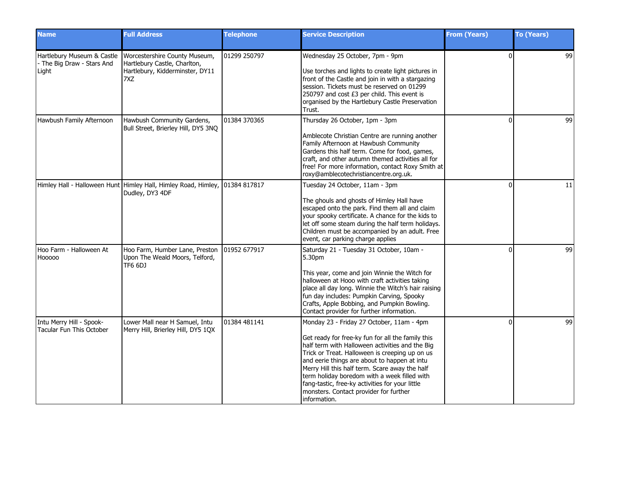| <b>Name</b>                                                     | <b>Full Address</b>                                                                                     | <b>Telephone</b> | <b>Service Description</b>                                                                                                                                                                                                                                                                                                                                                                                                                                         | <b>From (Years)</b> | <b>To (Years)</b> |
|-----------------------------------------------------------------|---------------------------------------------------------------------------------------------------------|------------------|--------------------------------------------------------------------------------------------------------------------------------------------------------------------------------------------------------------------------------------------------------------------------------------------------------------------------------------------------------------------------------------------------------------------------------------------------------------------|---------------------|-------------------|
| Hartlebury Museum & Castle<br>The Big Draw - Stars And<br>Light | Worcestershire County Museum,<br>Hartlebury Castle, Charlton,<br>Hartlebury, Kidderminster, DY11<br>7XZ | 01299 250797     | Wednesday 25 October, 7pm - 9pm<br>Use torches and lights to create light pictures in<br>front of the Castle and join in with a stargazing<br>session. Tickets must be reserved on 01299<br>250797 and cost £3 per child. This event is<br>organised by the Hartlebury Castle Preservation<br>Trust.                                                                                                                                                               | $\Omega$            | 99                |
| Hawbush Family Afternoon                                        | Hawbush Community Gardens,<br>Bull Street, Brierley Hill, DY5 3NQ                                       | 01384 370365     | Thursday 26 October, 1pm - 3pm<br>Amblecote Christian Centre are running another<br>Family Afternoon at Hawbush Community<br>Gardens this half term. Come for food, games,<br>craft, and other autumn themed activities all for<br>free! For more information, contact Roxy Smith at<br>roxy@amblecotechristiancentre.org.uk.                                                                                                                                      | $\Omega$            | 99                |
|                                                                 | Himley Hall - Halloween Hunt Himley Hall, Himley Road, Himley, 01384 817817<br>Dudley, DY3 4DF          |                  | Tuesday 24 October, 11am - 3pm<br>The ghouls and ghosts of Himley Hall have<br>escaped onto the park. Find them all and claim<br>your spooky certificate. A chance for the kids to<br>let off some steam during the half term holidays.<br>Children must be accompanied by an adult. Free<br>event, car parking charge applies                                                                                                                                     | O                   | 11                |
| Hoo Farm - Halloween At<br>Hooooo                               | Hoo Farm, Humber Lane, Preston<br>Upon The Weald Moors, Telford,<br><b>TF6 6DJ</b>                      | 01952 677917     | Saturday 21 - Tuesday 31 October, 10am -<br>5.30pm<br>This year, come and join Winnie the Witch for<br>halloween at Hooo with craft activities taking<br>place all day long. Winnie the Witch's hair raising<br>fun day includes: Pumpkin Carving, Spooky<br>Crafts, Apple Bobbing, and Pumpkin Bowling.<br>Contact provider for further information.                                                                                                              | ŋ                   | 99                |
| Intu Merry Hill - Spook-<br><b>Tacular Fun This October</b>     | Lower Mall near H Samuel, Intu<br>Merry Hill, Brierley Hill, DY5 1QX                                    | 01384 481141     | Monday 23 - Friday 27 October, 11am - 4pm<br>Get ready for free-ky fun for all the family this<br>half term with Halloween activities and the Big<br>Trick or Treat. Halloween is creeping up on us<br>and eerie things are about to happen at intu<br>Merry Hill this half term. Scare away the half<br>term holiday boredom with a week filled with<br>fang-tastic, free-ky activities for your little<br>monsters. Contact provider for further<br>Information. | $\Omega$            | 99                |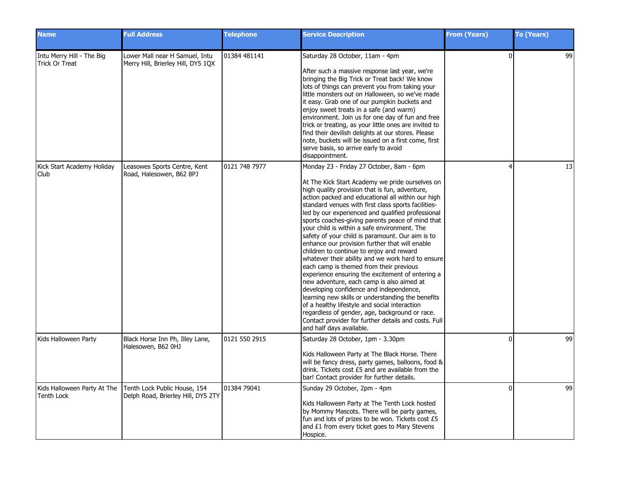| <b>Name</b>                                        | <b>Full Address</b>                                                  | <b>Telephone</b> | <b>Service Description</b>                                                                                                                                                                                                                                                                                                                                                                                                                                                                                                                                                                                                                                                                                                                                                                                                                                                                                                                                                                                                                                   | <b>From (Years)</b> | <b>To (Years)</b> |
|----------------------------------------------------|----------------------------------------------------------------------|------------------|--------------------------------------------------------------------------------------------------------------------------------------------------------------------------------------------------------------------------------------------------------------------------------------------------------------------------------------------------------------------------------------------------------------------------------------------------------------------------------------------------------------------------------------------------------------------------------------------------------------------------------------------------------------------------------------------------------------------------------------------------------------------------------------------------------------------------------------------------------------------------------------------------------------------------------------------------------------------------------------------------------------------------------------------------------------|---------------------|-------------------|
| Intu Merry Hill - The Big<br><b>Trick Or Treat</b> | Lower Mall near H Samuel, Intu<br>Merry Hill, Brierley Hill, DY5 1QX | 01384 481141     | Saturday 28 October, 11am - 4pm<br>After such a massive response last year, we're<br>bringing the Big Trick or Treat back! We know<br>lots of things can prevent you from taking your<br>little monsters out on Halloween, so we've made<br>it easy. Grab one of our pumpkin buckets and<br>enjoy sweet treats in a safe (and warm)<br>environment. Join us for one day of fun and free<br>trick or treating, as your little ones are invited to<br>find their devilish delights at our stores. Please<br>note, buckets will be issued on a first come, first<br>serve basis, so arrive early to avoid<br>disappointment.                                                                                                                                                                                                                                                                                                                                                                                                                                    | $\Omega$            | 99                |
| Kick Start Academy Holiday<br>Club                 | Leasowes Sports Centre, Kent<br>Road, Halesowen, B62 8PJ             | 0121 748 7977    | Monday 23 - Friday 27 October, 8am - 6pm<br>At The Kick Start Academy we pride ourselves on<br>high quality provision that is fun, adventure,<br>action packed and educational all within our high<br>standard venues with first class sports facilities-<br>led by our experienced and qualified professional<br>sports coaches-giving parents peace of mind that<br>your child is within a safe environment. The<br>safety of your child is paramount. Our aim is to<br>enhance our provision further that will enable<br>children to continue to enjoy and reward<br>whatever their ability and we work hard to ensure<br>each camp is themed from their previous<br>experience ensuring the excitement of entering a<br>new adventure, each camp is also aimed at<br>developing confidence and independence,<br>learning new skills or understanding the benefits<br>of a healthy lifestyle and social interaction<br>regardless of gender, age, background or race.<br>Contact provider for further details and costs. Full<br>and half days available. | Δ                   | 13                |
| Kids Halloween Party                               | Black Horse Inn Ph, Illey Lane,<br>Halesowen, B62 0HJ                | 0121 550 2915    | Saturday 28 October, 1pm - 3.30pm<br>Kids Halloween Party at The Black Horse. There<br>will be fancy dress, party games, balloons, food &<br>drink. Tickets cost £5 and are available from the<br>bar! Contact provider for further details.                                                                                                                                                                                                                                                                                                                                                                                                                                                                                                                                                                                                                                                                                                                                                                                                                 | $\Omega$            | 99                |
| Kids Halloween Party At The<br><b>Tenth Lock</b>   | Tenth Lock Public House, 154<br>Delph Road, Brierley Hill, DY5 2TY   | 01384 79041      | Sunday 29 October, 2pm - 4pm<br>Kids Halloween Party at The Tenth Lock hosted<br>by Mommy Mascots. There will be party games,<br>fun and lots of prizes to be won. Tickets cost £5<br>and £1 from every ticket goes to Mary Stevens<br>Hospice.                                                                                                                                                                                                                                                                                                                                                                                                                                                                                                                                                                                                                                                                                                                                                                                                              | $\Omega$            | 99                |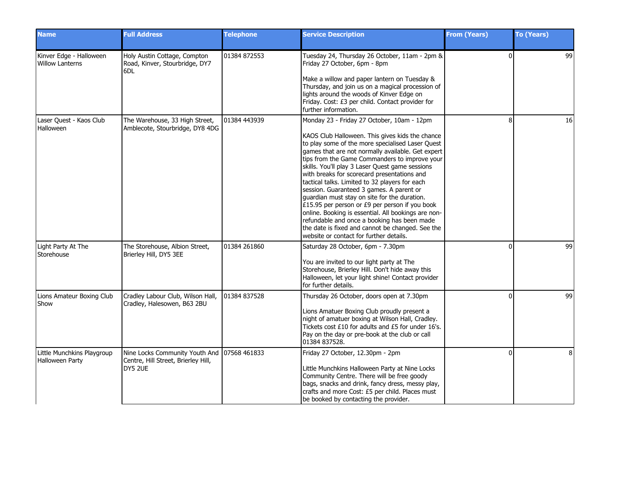| <b>Name</b>                                       | <b>Full Address</b>                                                                           | <b>Telephone</b> | <b>Service Description</b>                                                                                                                                                                                                                                                                                                                                                                                                                                                                                                                                                                                                                                                                                                                                     | <b>From (Years)</b> | <b>To (Years)</b> |
|---------------------------------------------------|-----------------------------------------------------------------------------------------------|------------------|----------------------------------------------------------------------------------------------------------------------------------------------------------------------------------------------------------------------------------------------------------------------------------------------------------------------------------------------------------------------------------------------------------------------------------------------------------------------------------------------------------------------------------------------------------------------------------------------------------------------------------------------------------------------------------------------------------------------------------------------------------------|---------------------|-------------------|
| Kinver Edge - Halloween<br><b>Willow Lanterns</b> | Holy Austin Cottage, Compton<br>Road, Kinver, Stourbridge, DY7<br>6DL                         | 01384 872553     | Tuesday 24, Thursday 26 October, 11am - 2pm &<br>Friday 27 October, 6pm - 8pm<br>Make a willow and paper lantern on Tuesday &<br>Thursday, and join us on a magical procession of<br>lights around the woods of Kinver Edge on<br>Friday. Cost: £3 per child. Contact provider for<br>further information.                                                                                                                                                                                                                                                                                                                                                                                                                                                     | $\Omega$            | 99                |
| Laser Quest - Kaos Club<br>Halloween              | The Warehouse, 33 High Street,<br>Amblecote, Stourbridge, DY8 4DG                             | 01384 443939     | Monday 23 - Friday 27 October, 10am - 12pm<br>KAOS Club Halloween. This gives kids the chance<br>to play some of the more specialised Laser Quest<br>games that are not normally available. Get expert<br>tips from the Game Commanders to improve your<br>skills. You'll play 3 Laser Quest game sessions<br>with breaks for scorecard presentations and<br>tactical talks. Limited to 32 players for each<br>session. Guaranteed 3 games. A parent or<br>guardian must stay on site for the duration.<br>£15.95 per person or £9 per person if you book<br>online. Booking is essential. All bookings are non-<br>refundable and once a booking has been made<br>the date is fixed and cannot be changed. See the<br>website or contact for further details. | 8                   | 16                |
| Light Party At The<br>Storehouse                  | The Storehouse, Albion Street,<br>Brierley Hill, DY5 3EE                                      | 01384 261860     | Saturday 28 October, 6pm - 7.30pm<br>You are invited to our light party at The<br>Storehouse, Brierley Hill. Don't hide away this<br>Halloween, let your light shine! Contact provider<br>for further details.                                                                                                                                                                                                                                                                                                                                                                                                                                                                                                                                                 | $\Omega$            | 99                |
| Lions Amateur Boxing Club<br>Show                 | Cradley Labour Club, Wilson Hall,<br>Cradley, Halesowen, B63 2BU                              | 01384 837528     | Thursday 26 October, doors open at 7.30pm<br>Lions Amatuer Boxing Club proudly present a<br>night of amatuer boxing at Wilson Hall, Cradley.<br>Tickets cost £10 for adults and £5 for under 16's.<br>Pay on the day or pre-book at the club or call<br>01384 837528.                                                                                                                                                                                                                                                                                                                                                                                                                                                                                          | $\Omega$            | 99                |
| Little Munchkins Playgroup<br>Halloween Party     | Nine Locks Community Youth And 07568 461833<br>Centre, Hill Street, Brierley Hill,<br>DY5 2UE |                  | Friday 27 October, 12.30pm - 2pm<br>Little Munchkins Halloween Party at Nine Locks<br>Community Centre. There will be free goody<br>bags, snacks and drink, fancy dress, messy play,<br>crafts and more Cost: £5 per child. Places must<br>be booked by contacting the provider.                                                                                                                                                                                                                                                                                                                                                                                                                                                                               | $\Omega$            | 8                 |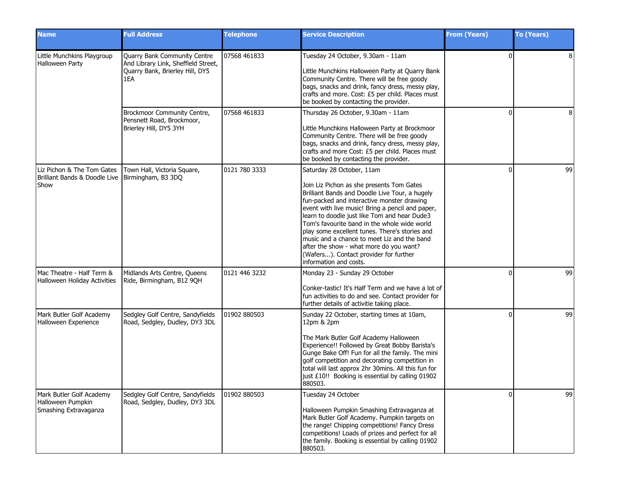| <b>Name</b>                                                                              | <b>Full Address</b>                                                                                           | <b>Telephone</b> | <b>Service Description</b>                                                                                                                                                                                                                                                                                                                                                                                                                                                                                                                 | <b>From (Years)</b> | <b>To (Years)</b> |
|------------------------------------------------------------------------------------------|---------------------------------------------------------------------------------------------------------------|------------------|--------------------------------------------------------------------------------------------------------------------------------------------------------------------------------------------------------------------------------------------------------------------------------------------------------------------------------------------------------------------------------------------------------------------------------------------------------------------------------------------------------------------------------------------|---------------------|-------------------|
| Little Munchkins Playgroup<br>Halloween Party                                            | Quarry Bank Community Centre<br>And Library Link, Sheffield Street,<br>Quarry Bank, Brierley Hill, DY5<br>1EA | 07568 461833     | Tuesday 24 October, 9.30am - 11am<br>Little Munchkins Halloween Party at Quarry Bank<br>Community Centre. There will be free goody<br>bags, snacks and drink, fancy dress, messy play,<br>crafts and more. Cost: £5 per child. Places must<br>be booked by contacting the provider.                                                                                                                                                                                                                                                        | $\Omega$            | 8                 |
|                                                                                          | Brockmoor Community Centre,<br>Pensnett Road, Brockmoor,<br>Brierley Hill, DY5 3YH                            | 07568 461833     | Thursday 26 October, 9.30am - 11am<br>Little Munchkins Halloween Party at Brockmoor<br>Community Centre. There will be free goody<br>bags, snacks and drink, fancy dress, messy play,<br>crafts and more Cost: £5 per child. Places must<br>be booked by contacting the provider.                                                                                                                                                                                                                                                          | ŋ                   | 8                 |
| Liz Pichon & The Tom Gates<br>Brilliant Bands & Doodle Live   Birmingham, B3 3DQ<br>Show | Town Hall, Victoria Square,                                                                                   | 0121 780 3333    | Saturday 28 October, 11am<br>Join Liz Pichon as she presents Tom Gates<br>Brilliant Bands and Doodle Live Tour, a hugely<br>fun-packed and interactive monster drawing<br>event with live music! Bring a pencil and paper,<br>learn to doodle just like Tom and hear Dude3<br>Tom's favourite band in the whole wide world<br>play some excellent tunes. There's stories and<br>music and a chance to meet Liz and the band<br>after the show - what more do you want?<br>(Wafers). Contact provider for further<br>information and costs. | O                   | 99                |
| Mac Theatre - Half Term &<br>Halloween Holiday Activities                                | Midlands Arts Centre, Queens<br>Ride, Birmingham, B12 9QH                                                     | 0121 446 3232    | Monday 23 - Sunday 29 October<br>Conker-tastic! It's Half Term and we have a lot of<br>fun activities to do and see. Contact provider for<br>further details of activitie taking place.                                                                                                                                                                                                                                                                                                                                                    | O                   | 99                |
| Mark Butler Golf Academy<br>Halloween Experience                                         | Sedgley Golf Centre, Sandyfields<br>Road, Sedgley, Dudley, DY3 3DL                                            | 01902 880503     | Sunday 22 October, starting times at 10am,<br>12pm & 2pm<br>The Mark Butler Golf Academy Halloween<br>Experience!! Followed by Great Bobby Barista's<br>Gunge Bake Off! Fun for all the family. The mini<br>golf competition and decorating competition in<br>total will last approx 2hr 30mins. All this fun for<br>just £10!! Booking is essential by calling 01902<br>880503.                                                                                                                                                           | $\Omega$            | 99                |
| Mark Butler Golf Academy<br>Halloween Pumpkin<br>Smashing Extravaganza                   | Sedgley Golf Centre, Sandyfields<br>Road, Sedgley, Dudley, DY3 3DL                                            | 01902 880503     | Tuesday 24 October<br>Halloween Pumpkin Smashing Extravaganza at<br>Mark Butler Golf Academy. Pumpkin targets on<br>the range! Chipping competitions! Fancy Dress<br>competitions! Loads of prizes and perfect for all<br>the family. Booking is essential by calling 01902<br>880503.                                                                                                                                                                                                                                                     |                     | 99                |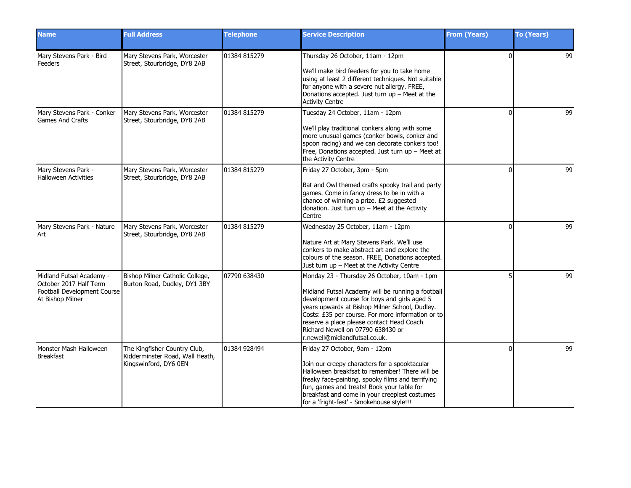| <b>Name</b>                                                                                           | <b>Full Address</b>                                                                      | <b>Telephone</b> | <b>Service Description</b>                                                                                                                                                                                                                                                                                                                                                 | <b>From (Years)</b> | <b>To (Years)</b> |
|-------------------------------------------------------------------------------------------------------|------------------------------------------------------------------------------------------|------------------|----------------------------------------------------------------------------------------------------------------------------------------------------------------------------------------------------------------------------------------------------------------------------------------------------------------------------------------------------------------------------|---------------------|-------------------|
| Mary Stevens Park - Bird<br>Feeders                                                                   | Mary Stevens Park, Worcester<br>Street, Stourbridge, DY8 2AB                             | 01384 815279     | Thursday 26 October, 11am - 12pm<br>We'll make bird feeders for you to take home<br>using at least 2 different techniques. Not suitable<br>for anyone with a severe nut allergy. FREE,<br>Donations accepted. Just turn $up$ – Meet at the<br><b>Activity Centre</b>                                                                                                       | $\Omega$            | 99                |
| Mary Stevens Park - Conker<br><b>Games And Crafts</b>                                                 | Mary Stevens Park, Worcester<br>Street, Stourbridge, DY8 2AB                             | 01384 815279     | Tuesday 24 October, 11am - 12pm<br>We'll play traditional conkers along with some<br>more unusual games (conker bowls, conker and<br>spoon racing) and we can decorate conkers too!<br>Free, Donations accepted. Just turn up - Meet at<br>the Activity Centre                                                                                                             | $\Omega$            | 99                |
| Mary Stevens Park -<br>Halloween Activities                                                           | Mary Stevens Park, Worcester<br>Street, Stourbridge, DY8 2AB                             | 01384 815279     | Friday 27 October, 3pm - 5pm<br>Bat and Owl themed crafts spooky trail and party<br>games. Come in fancy dress to be in with a<br>chance of winning a prize. £2 suggested<br>donation. Just turn up - Meet at the Activity<br>Centre                                                                                                                                       | $\Omega$            | 99                |
| Mary Stevens Park - Nature<br>Art                                                                     | Mary Stevens Park, Worcester<br>Street, Stourbridge, DY8 2AB                             | 01384 815279     | Wednesday 25 October, 11am - 12pm<br>Nature Art at Mary Stevens Park. We'll use<br>conkers to make abstract art and explore the<br>colours of the season. FREE, Donations accepted.<br>Just turn up - Meet at the Activity Centre                                                                                                                                          | n                   | 99                |
| Midland Futsal Academy -<br>October 2017 Half Term<br>Football Development Course<br>At Bishop Milner | Bishop Milner Catholic College,<br>Burton Road, Dudley, DY1 3BY                          | 07790 638430     | Monday 23 - Thursday 26 October, 10am - 1pm<br>Midland Futsal Academy will be running a football<br>development course for boys and girls aged 5<br>years upwards at Bishop Milner School, Dudley.<br>Costs: £35 per course. For more information or to<br>reserve a place please contact Head Coach<br>Richard Newell on 07790 638430 or<br>r.newell@midlandfutsal.co.uk. |                     | 99                |
| Monster Mash Halloween<br><b>Breakfast</b>                                                            | The Kingfisher Country Club,<br>Kidderminster Road, Wall Heath,<br>Kingswinford, DY6 0EN | 01384 928494     | Friday 27 October, 9am - 12pm<br>Join our creepy characters for a spooktacular<br>Halloween breakfsat to remember! There will be<br>freaky face-painting, spooky films and terrifying<br>fun, games and treats! Book your table for<br>breakfast and come in your creepiest costumes<br>for a 'fright-fest' - Smokehouse style!!!                                          | O                   | 99                |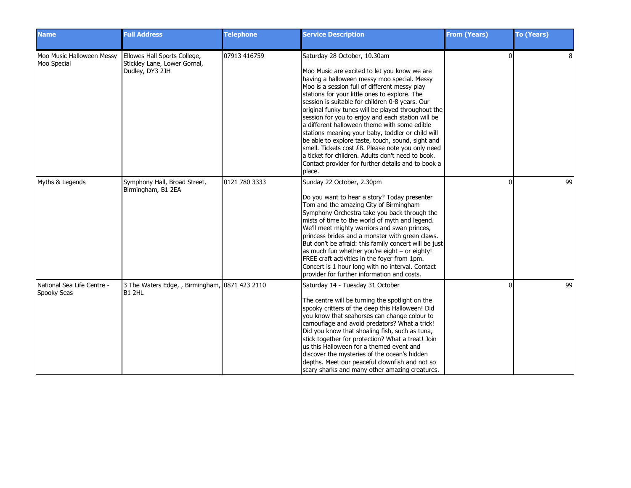| <b>Name</b>                               | <b>Full Address</b>                                                             | <b>Telephone</b> | <b>Service Description</b>                                                                                                                                                                                                                                                                                                                                                                                                                                                                                                                                                                                                                                                                                                      | <b>From (Years)</b> | <b>To (Years)</b> |
|-------------------------------------------|---------------------------------------------------------------------------------|------------------|---------------------------------------------------------------------------------------------------------------------------------------------------------------------------------------------------------------------------------------------------------------------------------------------------------------------------------------------------------------------------------------------------------------------------------------------------------------------------------------------------------------------------------------------------------------------------------------------------------------------------------------------------------------------------------------------------------------------------------|---------------------|-------------------|
| Moo Music Halloween Messy<br>Moo Special  | Ellowes Hall Sports College,<br>Stickley Lane, Lower Gornal,<br>Dudley, DY3 2JH | 07913 416759     | Saturday 28 October, 10.30am<br>Moo Music are excited to let you know we are<br>having a halloween messy moo special. Messy<br>Moo is a session full of different messy play<br>stations for your little ones to explore. The<br>session is suitable for children 0-8 years. Our<br>original funky tunes will be played throughout the<br>session for you to enjoy and each station will be<br>a different halloween theme with some edible<br>stations meaning your baby, toddler or child will<br>be able to explore taste, touch, sound, sight and<br>smell. Tickets cost £8. Please note you only need<br>a ticket for children. Adults don't need to book.<br>Contact provider for further details and to book a<br>place. | $\Omega$            |                   |
| Myths & Legends                           | Symphony Hall, Broad Street,<br>Birmingham, B1 2EA                              | 0121 780 3333    | Sunday 22 October, 2.30pm<br>Do you want to hear a story? Today presenter<br>Tom and the amazing City of Birmingham<br>Symphony Orchestra take you back through the<br>mists of time to the world of myth and legend.<br>We'll meet mighty warriors and swan princes,<br>princess brides and a monster with green claws.<br>But don't be afraid: this family concert will be just<br>as much fun whether you're eight - or eighty!<br>FREE craft activities in the foyer from 1pm.<br>Concert is 1 hour long with no interval. Contact<br>provider for further information and costs.                                                                                                                                           |                     | 99                |
| National Sea Life Centre -<br>Spooky Seas | 3 The Waters Edge, , Birmingham, 0871 423 2110<br>IB1 2HL                       |                  | Saturday 14 - Tuesday 31 October<br>The centre will be turning the spotlight on the<br>spooky critters of the deep this Halloween! Did<br>you know that seahorses can change colour to<br>camouflage and avoid predators? What a trick!<br>Did you know that shoaling fish, such as tuna,<br>stick together for protection? What a treat! Join<br>us this Halloween for a themed event and<br>discover the mysteries of the ocean's hidden<br>depths. Meet our peaceful clownfish and not so<br>scary sharks and many other amazing creatures.                                                                                                                                                                                  | $\Omega$            | 99                |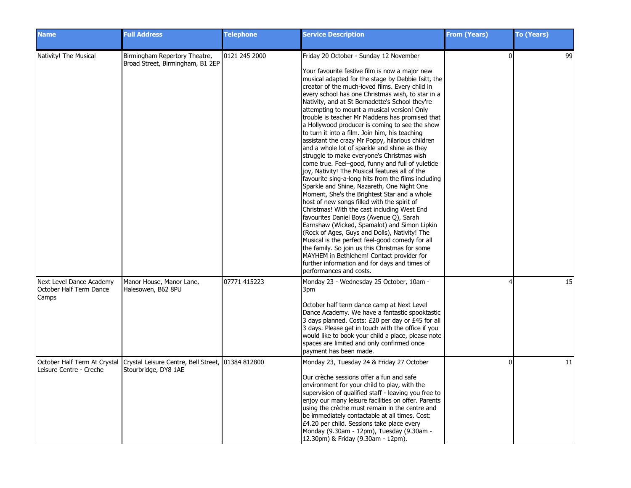| <b>Name</b>                                                  | <b>Full Address</b>                                                        | <b>Telephone</b> | <b>Service Description</b>                                                                                                                                                                                                                                                                                                                                                                                                                                                                                                                                                                                                                                                                                                                                                                                                                                                                                                                                                                                                                                                                                                                                                                                                                                                                                                                                                                             | <b>From (Years)</b> | To (Years) |
|--------------------------------------------------------------|----------------------------------------------------------------------------|------------------|--------------------------------------------------------------------------------------------------------------------------------------------------------------------------------------------------------------------------------------------------------------------------------------------------------------------------------------------------------------------------------------------------------------------------------------------------------------------------------------------------------------------------------------------------------------------------------------------------------------------------------------------------------------------------------------------------------------------------------------------------------------------------------------------------------------------------------------------------------------------------------------------------------------------------------------------------------------------------------------------------------------------------------------------------------------------------------------------------------------------------------------------------------------------------------------------------------------------------------------------------------------------------------------------------------------------------------------------------------------------------------------------------------|---------------------|------------|
| Nativity! The Musical                                        | Birmingham Repertory Theatre,<br>Broad Street, Birmingham, B1 2EP          | 0121 245 2000    | Friday 20 October - Sunday 12 November<br>Your favourite festive film is now a major new<br>musical adapted for the stage by Debbie Isitt, the<br>creator of the much-loved films. Every child in<br>every school has one Christmas wish, to star in a<br>Nativity, and at St Bernadette's School they're<br>attempting to mount a musical version! Only<br>trouble is teacher Mr Maddens has promised that<br>a Hollywood producer is coming to see the show<br>to turn it into a film. Join him, his teaching<br>assistant the crazy Mr Poppy, hilarious children<br>and a whole lot of sparkle and shine as they<br>struggle to make everyone's Christmas wish<br>come true. Feel-good, funny and full of yuletide<br>ljoy, Nativity! The Musical features all of the<br>favourite sing-a-long hits from the films including<br>Sparkle and Shine, Nazareth, One Night One<br>Moment, She's the Brightest Star and a whole<br>host of new songs filled with the spirit of<br>Christmas! With the cast including West End<br>favourites Daniel Boys (Avenue Q), Sarah<br>Earnshaw (Wicked, Spamalot) and Simon Lipkin<br>(Rock of Ages, Guys and Dolls), Nativity! The<br>Musical is the perfect feel-good comedy for all<br>the family. So join us this Christmas for some<br>MAYHEM in Bethlehem! Contact provider for<br>further information and for days and times of<br>performances and costs. | $\Omega$            | 99         |
| Next Level Dance Academy<br>October Half Term Dance<br>Camps | Manor House, Manor Lane,<br>Halesowen, B62 8PU                             | 07771 415223     | Monday 23 - Wednesday 25 October, 10am -<br>3pm<br>October half term dance camp at Next Level<br>Dance Academy. We have a fantastic spooktastic<br>3 days planned. Costs: £20 per day or £45 for all<br>3 days. Please get in touch with the office if you<br>would like to book your child a place, please note<br>spaces are limited and only confirmed once<br>payment has been made.                                                                                                                                                                                                                                                                                                                                                                                                                                                                                                                                                                                                                                                                                                                                                                                                                                                                                                                                                                                                               |                     | 15         |
| October Half Term At Crystal<br>Leisure Centre - Creche      | Crystal Leisure Centre, Bell Street, 101384 812800<br>Stourbridge, DY8 1AE |                  | Monday 23, Tuesday 24 & Friday 27 October<br>Our crèche sessions offer a fun and safe<br>environment for your child to play, with the<br>supervision of qualified staff - leaving you free to<br>enjoy our many leisure facilities on offer. Parents<br>using the crèche must remain in the centre and<br>be immediately contactable at all times. Cost:<br>£4.20 per child. Sessions take place every<br>Monday (9.30am - 12pm), Tuesday (9.30am -<br>12.30pm) & Friday (9.30am - 12pm).                                                                                                                                                                                                                                                                                                                                                                                                                                                                                                                                                                                                                                                                                                                                                                                                                                                                                                              | $\Omega$            | 11         |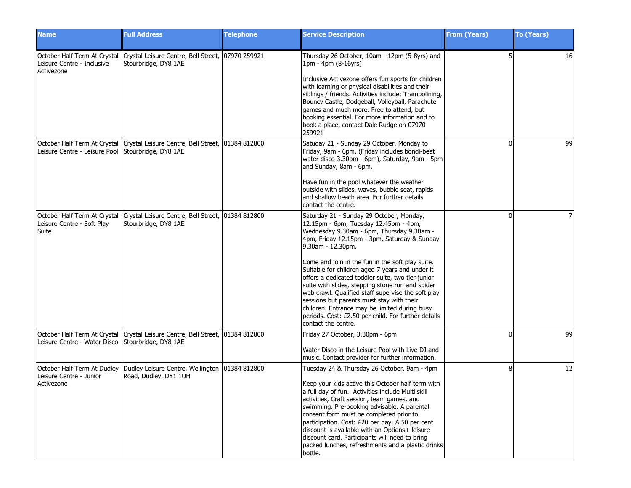| <b>Name</b>                                                              | <b>Full Address</b>                                                                                    | <b>Telephone</b> | <b>Service Description</b>                                                                                                                                                                                                                                                                                                                                                                                                                                                                                             | <b>From (Years)</b> | <b>To (Years)</b> |
|--------------------------------------------------------------------------|--------------------------------------------------------------------------------------------------------|------------------|------------------------------------------------------------------------------------------------------------------------------------------------------------------------------------------------------------------------------------------------------------------------------------------------------------------------------------------------------------------------------------------------------------------------------------------------------------------------------------------------------------------------|---------------------|-------------------|
| October Half Term At Crystal<br>Leisure Centre - Inclusive<br>Activezone | Crystal Leisure Centre, Bell Street, 07970 259921<br>Stourbridge, DY8 1AE                              |                  | Thursday 26 October, 10am - 12pm (5-8yrs) and<br>1pm - 4pm (8-16yrs)<br>Inclusive Activezone offers fun sports for children                                                                                                                                                                                                                                                                                                                                                                                            |                     | 16                |
|                                                                          |                                                                                                        |                  | with learning or physical disabilities and their<br>siblings / friends. Activities include: Trampolining,<br>Bouncy Castle, Dodgeball, Volleyball, Parachute<br>games and much more. Free to attend, but<br>booking essential. For more information and to<br>book a place, contact Dale Rudge on 07970<br>259921                                                                                                                                                                                                      |                     |                   |
| Leisure Centre - Leisure Pool Stourbridge, DY8 1AE                       | October Half Term At Crystal   Crystal Leisure Centre, Bell Street, 01384 812800                       |                  | Satuday 21 - Sunday 29 October, Monday to<br>Friday, 9am - 6pm, (Friday includes bondi-beat<br>water disco 3.30pm - 6pm), Saturday, 9am - 5pm<br>and Sunday, 8am - 6pm.                                                                                                                                                                                                                                                                                                                                                | O                   | 99                |
|                                                                          |                                                                                                        |                  | Have fun in the pool whatever the weather<br>outside with slides, waves, bubble seat, rapids<br>land shallow beach area. For further details<br>contact the centre.                                                                                                                                                                                                                                                                                                                                                    |                     |                   |
| October Half Term At Crystal<br>Leisure Centre - Soft Play<br>Suite      | Crystal Leisure Centre, Bell Street, 01384 812800<br>Stourbridge, DY8 1AE                              |                  | Saturday 21 - Sunday 29 October, Monday,<br>12.15pm - 6pm, Tuesday 12.45pm - 4pm,<br>Wednesday 9.30am - 6pm, Thursday 9.30am -<br>4pm, Friday 12.15pm - 3pm, Saturday & Sunday<br>9.30am - 12.30pm.                                                                                                                                                                                                                                                                                                                    | ŋ                   |                   |
|                                                                          |                                                                                                        |                  | Come and join in the fun in the soft play suite.<br>Suitable for children aged 7 years and under it<br>offers a dedicated toddler suite, two tier junior<br>suite with slides, stepping stone run and spider<br>web crawl. Qualified staff supervise the soft play<br>sessions but parents must stay with their<br>children. Entrance may be limited during busy<br>periods. Cost: £2.50 per child. For further details<br>contact the centre.                                                                         |                     |                   |
| Leisure Centre - Water Disco                                             | October Half Term At Crystal Crystal Leisure Centre, Bell Street, 01384 812800<br>Stourbridge, DY8 1AE |                  | Friday 27 October, 3.30pm - 6pm<br>Water Disco in the Leisure Pool with Live DJ and<br>music. Contact provider for further information.                                                                                                                                                                                                                                                                                                                                                                                | <sup>0</sup>        | 99                |
| October Half Term At Dudley<br>Leisure Centre - Junior<br>Activezone     | Dudley Leisure Centre, Wellington   01384 812800<br>Road, Dudley, DY1 1UH                              |                  | Tuesday 24 & Thursday 26 October, 9am - 4pm<br>I Keep your kids active this October half term with<br>a full day of fun. Activities include Multi skill<br>activities, Craft session, team games, and<br>swimming. Pre-booking advisable. A parental<br>consent form must be completed prior to<br>participation. Cost: £20 per day. A 50 per cent<br>discount is available with an Options+ leisure<br>discount card. Participants will need to bring<br>packed lunches, refreshments and a plastic drinks<br>bottle. | 8                   | 12                |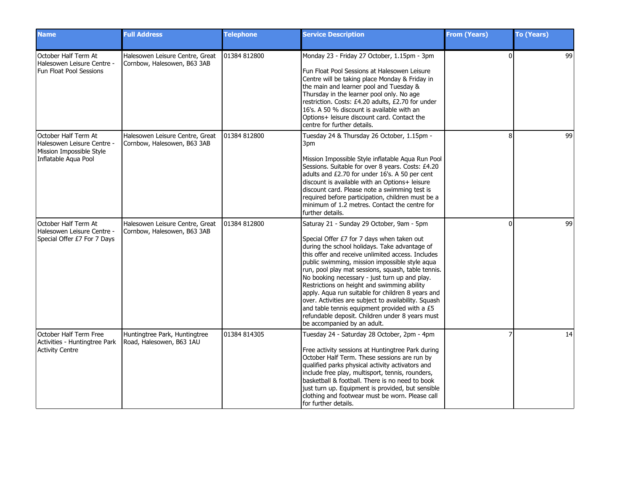| <b>Name</b>                                                                                            | <b>Full Address</b>                                            | <b>Telephone</b> | <b>Service Description</b>                                                                                                                                                                                                                                                                                                                                                                                                                                                                                                                                                                                                                            | <b>From (Years)</b> | <b>To (Years)</b> |
|--------------------------------------------------------------------------------------------------------|----------------------------------------------------------------|------------------|-------------------------------------------------------------------------------------------------------------------------------------------------------------------------------------------------------------------------------------------------------------------------------------------------------------------------------------------------------------------------------------------------------------------------------------------------------------------------------------------------------------------------------------------------------------------------------------------------------------------------------------------------------|---------------------|-------------------|
| October Half Term At<br>Halesowen Leisure Centre -<br><b>Fun Float Pool Sessions</b>                   | Halesowen Leisure Centre, Great<br>Cornbow, Halesowen, B63 3AB | 01384 812800     | Monday 23 - Friday 27 October, 1.15pm - 3pm<br>Fun Float Pool Sessions at Halesowen Leisure<br>Centre will be taking place Monday & Friday in<br>the main and learner pool and Tuesday &<br>Thursday in the learner pool only. No age<br>restriction. Costs: £4.20 adults, £2.70 for under<br>16's. A 50 % discount is available with an<br>Options+ leisure discount card. Contact the<br>centre for further details.                                                                                                                                                                                                                                | $\Omega$            | 99                |
| October Half Term At<br>Halesowen Leisure Centre -<br>Mission Impossible Style<br>Inflatable Aqua Pool | Halesowen Leisure Centre, Great<br>Cornbow, Halesowen, B63 3AB | 01384 812800     | Tuesday 24 & Thursday 26 October, 1.15pm -<br>3pm<br>Mission Impossible Style inflatable Aqua Run Pool<br>Sessions. Suitable for over 8 years. Costs: £4.20<br>adults and £2.70 for under 16's. A 50 per cent<br>discount is available with an Options+ leisure<br>discount card. Please note a swimming test is<br>required before participation, children must be a<br>minimum of 1.2 metres. Contact the centre for<br>further details.                                                                                                                                                                                                            | $\mathsf{R}$        | 99                |
| October Half Term At<br>Halesowen Leisure Centre -<br>Special Offer £7 For 7 Days                      | Halesowen Leisure Centre, Great<br>Cornbow, Halesowen, B63 3AB | 01384 812800     | Saturay 21 - Sunday 29 October, 9am - 5pm<br>Special Offer £7 for 7 days when taken out<br>during the school holidays. Take advantage of<br>this offer and receive unlimited access. Includes<br>public swimming, mission impossible style aqua<br>run, pool play mat sessions, squash, table tennis.<br>No booking necessary - just turn up and play.<br>Restrictions on height and swimming ability<br>apply. Aqua run suitable for children 8 years and<br>over. Activities are subject to availability. Squash<br>and table tennis equipment provided with a £5<br>refundable deposit. Children under 8 years must<br>be accompanied by an adult. | $\Omega$            | 99                |
| October Half Term Free<br>Activities - Huntingtree Park<br><b>Activity Centre</b>                      | Huntingtree Park, Huntingtree<br>Road, Halesowen, B63 1AU      | 01384 814305     | Tuesday 24 - Saturday 28 October, 2pm - 4pm<br>Free activity sessions at Huntingtree Park during<br>October Half Term. These sessions are run by<br>qualified parks physical activity activators and<br>include free play, multisport, tennis, rounders,<br>basketball & football. There is no need to book<br>just turn up. Equipment is provided, but sensible<br>clothing and footwear must be worn. Please call<br>for further details.                                                                                                                                                                                                           |                     | 14                |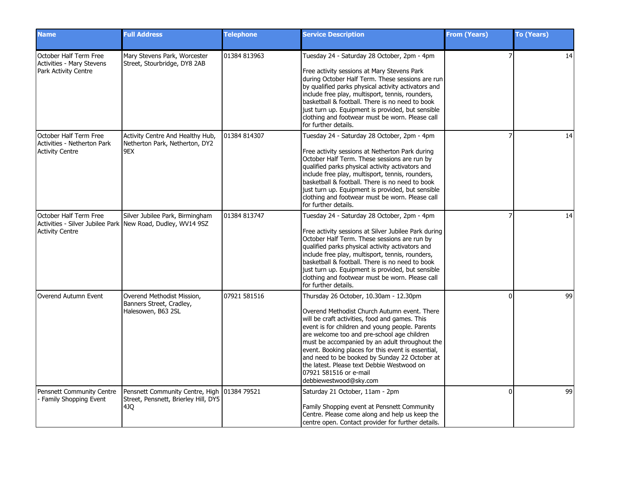| <b>Name</b>                                                                     | <b>Full Address</b>                                                                            | <b>Telephone</b> | <b>Service Description</b>                                                                                                                                                                                                                                                                                                                                                                                                                                                                            | <b>From (Years)</b> | <b>To (Years)</b> |
|---------------------------------------------------------------------------------|------------------------------------------------------------------------------------------------|------------------|-------------------------------------------------------------------------------------------------------------------------------------------------------------------------------------------------------------------------------------------------------------------------------------------------------------------------------------------------------------------------------------------------------------------------------------------------------------------------------------------------------|---------------------|-------------------|
| October Half Term Free<br>Activities - Mary Stevens<br>Park Activity Centre     | Mary Stevens Park, Worcester<br>Street, Stourbridge, DY8 2AB                                   | 01384 813963     | Tuesday 24 - Saturday 28 October, 2pm - 4pm<br>Free activity sessions at Mary Stevens Park<br>during October Half Term. These sessions are run<br>by qualified parks physical activity activators and<br>include free play, multisport, tennis, rounders,<br>basketball & football. There is no need to book<br>just turn up. Equipment is provided, but sensible<br>clothing and footwear must be worn. Please call<br>for further details.                                                          |                     | 14                |
| October Half Term Free<br>Activities - Netherton Park<br><b>Activity Centre</b> | Activity Centre And Healthy Hub,<br>Netherton Park, Netherton, DY2<br>9EX                      | 01384 814307     | Tuesday 24 - Saturday 28 October, 2pm - 4pm<br>Free activity sessions at Netherton Park during<br>October Half Term. These sessions are run by<br>qualified parks physical activity activators and<br>include free play, multisport, tennis, rounders,<br>basketball & football. There is no need to book<br>just turn up. Equipment is provided, but sensible<br>clothing and footwear must be worn. Please call<br>for further details.                                                             |                     | 14                |
| October Half Term Free<br><b>Activity Centre</b>                                | Silver Jubilee Park, Birmingham<br>Activities - Silver Jubilee Park New Road, Dudley, WV14 9SZ | 01384 813747     | Tuesday 24 - Saturday 28 October, 2pm - 4pm<br>Free activity sessions at Silver Jubilee Park during<br>October Half Term. These sessions are run by<br>qualified parks physical activity activators and<br>include free play, multisport, tennis, rounders,<br>basketball & football. There is no need to book<br>just turn up. Equipment is provided, but sensible<br>clothing and footwear must be worn. Please call<br>for further details.                                                        |                     | 14                |
| Overend Autumn Event                                                            | Overend Methodist Mission,<br>Banners Street, Cradley,<br>Halesowen, B63 2SL                   | 07921 581516     | Thursday 26 October, 10.30am - 12.30pm<br>Overend Methodist Church Autumn event. There<br>will be craft activities, food and games. This<br>event is for children and young people. Parents<br>are welcome too and pre-school age children<br>must be accompanied by an adult throughout the<br>event. Booking places for this event is essential,<br>and need to be booked by Sunday 22 October at<br>the latest. Please text Debbie Westwood on<br>07921 581516 or e-mail<br>debbiewestwood@sky.com | <sup>0</sup>        | 99                |
| Pensnett Community Centre<br>- Family Shopping Event                            | Pensnett Community Centre, High 101384 79521<br>Street, Pensnett, Brierley Hill, DY5<br>4JQ    |                  | Saturday 21 October, 11am - 2pm<br>Family Shopping event at Pensnett Community<br>Centre. Please come along and help us keep the<br>centre open. Contact provider for further details.                                                                                                                                                                                                                                                                                                                | <sup>0</sup>        | 99                |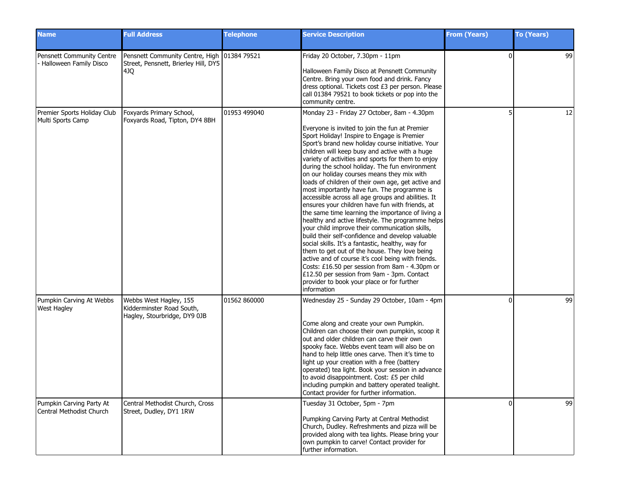| <b>Name</b>                                          | <b>Full Address</b>                                                                          | <b>Telephone</b> | <b>Service Description</b>                                                                                                                                                                                                                                                                                                                                                                                                                                                                                                                                                                                                                                                                                                                                                                                                                                                                                                                                                                                                                                                                                                                                       | <b>From (Years)</b> | <b>To (Years)</b> |
|------------------------------------------------------|----------------------------------------------------------------------------------------------|------------------|------------------------------------------------------------------------------------------------------------------------------------------------------------------------------------------------------------------------------------------------------------------------------------------------------------------------------------------------------------------------------------------------------------------------------------------------------------------------------------------------------------------------------------------------------------------------------------------------------------------------------------------------------------------------------------------------------------------------------------------------------------------------------------------------------------------------------------------------------------------------------------------------------------------------------------------------------------------------------------------------------------------------------------------------------------------------------------------------------------------------------------------------------------------|---------------------|-------------------|
| Pensnett Community Centre<br>Halloween Family Disco  | Pensnett Community Centre, High   01384 79521<br>Street, Pensnett, Brierley Hill, DY5<br>4JQ |                  | Friday 20 October, 7.30pm - 11pm<br>Halloween Family Disco at Pensnett Community<br>Centre. Bring your own food and drink. Fancy<br>dress optional. Tickets cost £3 per person. Please<br>call 01384 79521 to book tickets or pop into the<br>community centre.                                                                                                                                                                                                                                                                                                                                                                                                                                                                                                                                                                                                                                                                                                                                                                                                                                                                                                  | $\Omega$            | 99                |
| Premier Sports Holiday Club<br>Multi Sports Camp     | Foxyards Primary School,<br>Foxyards Road, Tipton, DY4 8BH                                   | 01953 499040     | Monday 23 - Friday 27 October, 8am - 4.30pm<br>Everyone is invited to join the fun at Premier<br>Sport Holiday! Inspire to Engage is Premier<br>Sport's brand new holiday course initiative. Your<br>children will keep busy and active with a huge<br>variety of activities and sports for them to enjoy<br>during the school holiday. The fun environment<br>on our holiday courses means they mix with<br>loads of children of their own age, get active and<br>most importantly have fun. The programme is<br>accessible across all age groups and abilities. It<br>ensures your children have fun with friends, at<br>the same time learning the importance of living a<br>healthy and active lifestyle. The programme helps<br>your child improve their communication skills,<br>build their self-confidence and develop valuable<br>social skills. It's a fantastic, healthy, way for<br>them to get out of the house. They love being<br>active and of course it's cool being with friends.<br>Costs: £16.50 per session from 8am - 4.30pm or<br>£12.50 per session from 9am - 3pm. Contact<br>provider to book your place or for further<br>information |                     | 12                |
| Pumpkin Carving At Webbs<br><b>West Hagley</b>       | Webbs West Hagley, 155<br>Kidderminster Road South,<br>Hagley, Stourbridge, DY9 0JB          | 01562 860000     | Wednesday 25 - Sunday 29 October, 10am - 4pm<br>Come along and create your own Pumpkin.<br>Children can choose their own pumpkin, scoop it<br>out and older children can carve their own<br>spooky face. Webbs event team will also be on<br>hand to help little ones carve. Then it's time to<br>light up your creation with a free (battery<br>operated) tea light. Book your session in advance<br>to avoid disappointment. Cost: £5 per child<br>including pumpkin and battery operated tealight.<br>Contact provider for further information.                                                                                                                                                                                                                                                                                                                                                                                                                                                                                                                                                                                                               | $\Omega$            | 99                |
| Pumpkin Carving Party At<br>Central Methodist Church | Central Methodist Church, Cross<br>Street, Dudley, DY1 1RW                                   |                  | Tuesday 31 October, 5pm - 7pm<br>Pumpking Carving Party at Central Methodist<br>Church, Dudley. Refreshments and pizza will be<br>provided along with tea lights. Please bring your<br>own pumpkin to carve! Contact provider for<br>further information.                                                                                                                                                                                                                                                                                                                                                                                                                                                                                                                                                                                                                                                                                                                                                                                                                                                                                                        | $\Omega$            | 99                |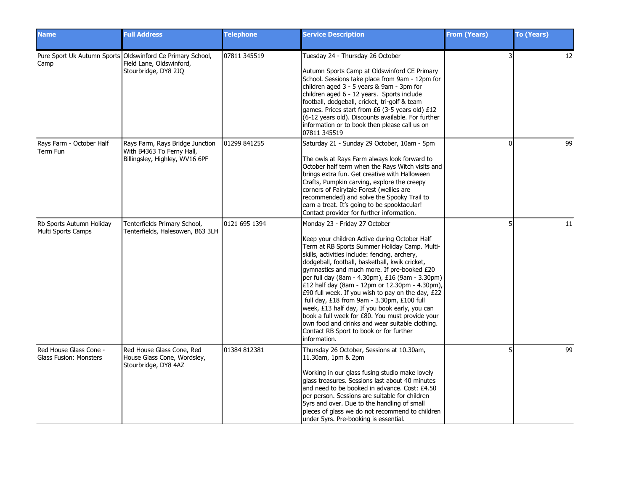| <b>Name</b>                                      | <b>Full Address</b>                                                                                            | <b>Telephone</b> | <b>Service Description</b>                                                                                                                                                                                                                                                                                                                                                                                                                                                                                                                                                                                                                                                                                   | <b>From (Years)</b> | <b>To (Years)</b> |
|--------------------------------------------------|----------------------------------------------------------------------------------------------------------------|------------------|--------------------------------------------------------------------------------------------------------------------------------------------------------------------------------------------------------------------------------------------------------------------------------------------------------------------------------------------------------------------------------------------------------------------------------------------------------------------------------------------------------------------------------------------------------------------------------------------------------------------------------------------------------------------------------------------------------------|---------------------|-------------------|
| Camp                                             | Pure Sport Uk Autumn Sports Oldswinford Ce Primary School,<br>Field Lane, Oldswinford,<br>Stourbridge, DY8 2JQ | 07811 345519     | Tuesday 24 - Thursday 26 October<br>Autumn Sports Camp at Oldswinford CE Primary<br>School. Sessions take place from 9am - 12pm for<br>children aged 3 - 5 years & 9am - 3pm for<br>children aged 6 - 12 years. Sports include<br>football, dodgeball, cricket, tri-golf & team<br>games. Prices start from £6 (3-5 years old) £12<br>(6-12 years old). Discounts available. For further<br>information or to book then please call us on<br>07811 345519                                                                                                                                                                                                                                                    |                     | 12                |
| Rays Farm - October Half<br>Term Fun             | Rays Farm, Rays Bridge Junction<br>With B4363 To Ferny Hall,<br>Billingsley, Highley, WV16 6PF                 | 01299 841255     | Saturday 21 - Sunday 29 October, 10am - 5pm<br>The owls at Rays Farm always look forward to<br>October half term when the Rays Witch visits and<br>brings extra fun. Get creative with Halloween<br>Crafts, Pumpkin carving, explore the creepy<br>corners of Fairytale Forest (wellies are<br>recommended) and solve the Spooky Trail to<br>earn a treat. It's going to be spooktacular!<br>Contact provider for further information.                                                                                                                                                                                                                                                                       | $\Omega$            | 99                |
| Rb Sports Autumn Holiday<br>Multi Sports Camps   | Tenterfields Primary School,<br>Tenterfields, Halesowen, B63 3LH                                               | 0121 695 1394    | Monday 23 - Friday 27 October<br>Keep your children Active during October Half<br>Term at RB Sports Summer Holiday Camp. Multi-<br>skills, activities include: fencing, archery,<br>dodgeball, football, basketball, kwik cricket,<br>gymnastics and much more. If pre-booked £20<br>per full day (8am - 4.30pm), £16 (9am - 3.30pm)<br>£12 half day (8am - 12pm or 12.30pm - 4.30pm),<br>E90 full week. If you wish to pay on the day, E22<br>full day, £18 from 9am - 3.30pm, £100 full<br>week, £13 half day, If you book early, you can<br>book a full week for £80. You must provide your<br>own food and drinks and wear suitable clothing.<br>Contact RB Sport to book or for further<br>information. |                     | 11                |
| Red House Glass Cone -<br>Glass Fusion: Monsters | Red House Glass Cone, Red<br>House Glass Cone, Wordsley,<br>Stourbridge, DY8 4AZ                               | 01384 812381     | Thursday 26 October, Sessions at 10.30am,<br>11.30am, 1pm & 2pm<br>Working in our glass fusing studio make lovely<br>glass treasures. Sessions last about 40 minutes<br>and need to be booked in advance. Cost: £4.50<br>per person. Sessions are suitable for children<br>5yrs and over. Due to the handling of small<br>pieces of glass we do not recommend to children<br>under 5yrs. Pre-booking is essential.                                                                                                                                                                                                                                                                                           |                     | 99                |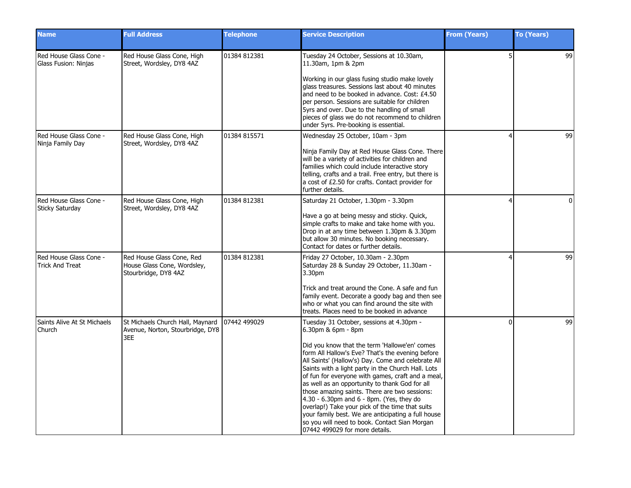| <b>Name</b>                                      | <b>Full Address</b>                                                              | <b>Telephone</b> | <b>Service Description</b>                                                                                                                                                                                                                                                                                                                                                                                                                                                                                                                                                                                                                                                         | <b>From (Years)</b> | <b>To (Years)</b> |
|--------------------------------------------------|----------------------------------------------------------------------------------|------------------|------------------------------------------------------------------------------------------------------------------------------------------------------------------------------------------------------------------------------------------------------------------------------------------------------------------------------------------------------------------------------------------------------------------------------------------------------------------------------------------------------------------------------------------------------------------------------------------------------------------------------------------------------------------------------------|---------------------|-------------------|
| Red House Glass Cone -<br>Glass Fusion: Ninjas   | Red House Glass Cone, High<br>Street, Wordsley, DY8 4AZ                          | 01384 812381     | Tuesday 24 October, Sessions at 10.30am,<br>11.30am, 1pm & 2pm<br>Working in our glass fusing studio make lovely<br>glass treasures. Sessions last about 40 minutes<br>and need to be booked in advance. Cost: £4.50<br>per person. Sessions are suitable for children<br>5yrs and over. Due to the handling of small<br>pieces of glass we do not recommend to children                                                                                                                                                                                                                                                                                                           |                     | 99                |
| Red House Glass Cone -<br>Ninja Family Day       | Red House Glass Cone, High<br>Street, Wordsley, DY8 4AZ                          | 01384 815571     | under 5yrs. Pre-booking is essential.<br>Wednesday 25 October, 10am - 3pm<br>Ninja Family Day at Red House Glass Cone. There<br>will be a variety of activities for children and<br>families which could include interactive story<br>telling, crafts and a trail. Free entry, but there is<br>a cost of £2.50 for crafts. Contact provider for<br>further details.                                                                                                                                                                                                                                                                                                                |                     | 99                |
| Red House Glass Cone -<br>Sticky Saturday        | Red House Glass Cone, High<br>Street, Wordsley, DY8 4AZ                          | 01384 812381     | Saturday 21 October, 1.30pm - 3.30pm<br>Have a go at being messy and sticky. Quick,<br>simple crafts to make and take home with you.<br>Drop in at any time between 1.30pm & 3.30pm<br>but allow 30 minutes. No booking necessary.<br>Contact for dates or further details.                                                                                                                                                                                                                                                                                                                                                                                                        |                     | $\Omega$          |
| Red House Glass Cone -<br><b>Trick And Treat</b> | Red House Glass Cone, Red<br>House Glass Cone, Wordsley,<br>Stourbridge, DY8 4AZ | 01384 812381     | Friday 27 October, 10.30am - 2.30pm<br>Saturday 28 & Sunday 29 October, 11.30am -<br>3.30pm<br>Trick and treat around the Cone. A safe and fun<br>family event. Decorate a goody bag and then see<br>who or what you can find around the site with<br>treats. Places need to be booked in advance                                                                                                                                                                                                                                                                                                                                                                                  |                     | 99                |
| Saints Alive At St Michaels<br>Church            | St Michaels Church Hall, Maynard<br>Avenue, Norton, Stourbridge, DY8<br>3EE      | 07442 499029     | Tuesday 31 October, sessions at 4.30pm -<br>6.30pm & 6pm - 8pm<br>Did you know that the term 'Hallowe'en' comes<br>form All Hallow's Eve? That's the evening before<br>All Saints' (Hallow's) Day. Come and celebrate All<br>Saints with a light party in the Church Hall. Lots<br>of fun for everyone with games, craft and a meal,<br>as well as an opportunity to thank God for all<br>those amazing saints. There are two sessions:<br>$4.30 - 6.30$ pm and 6 - 8pm. (Yes, they do<br>overlap!) Take your pick of the time that suits<br>your family best. We are anticipating a full house<br>so you will need to book. Contact Sian Morgan<br>07442 499029 for more details. | ŋ                   | 99                |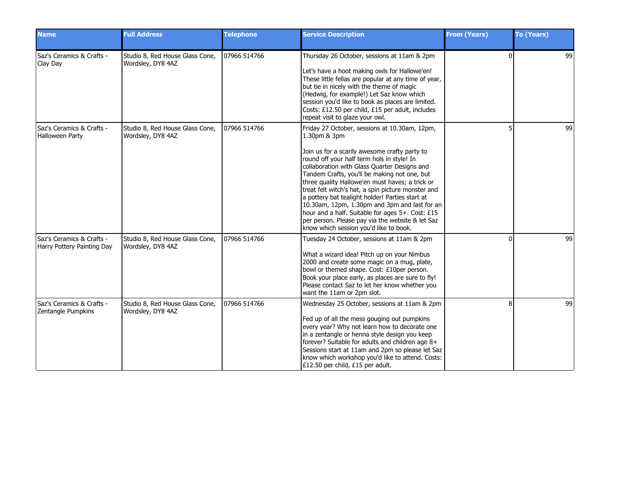| <b>Name</b>                                             | <b>Full Address</b>                                  | <b>Telephone</b> | <b>Service Description</b>                                                                                                                                                                                                                                                                                                                                                                                                                                                                                                                                                                                                  | <b>From (Years)</b> | <b>To (Years)</b> |
|---------------------------------------------------------|------------------------------------------------------|------------------|-----------------------------------------------------------------------------------------------------------------------------------------------------------------------------------------------------------------------------------------------------------------------------------------------------------------------------------------------------------------------------------------------------------------------------------------------------------------------------------------------------------------------------------------------------------------------------------------------------------------------------|---------------------|-------------------|
| Saz's Ceramics & Crafts -<br>Clay Day                   | Studio 8, Red House Glass Cone,<br>Wordsley, DY8 4AZ | 07966 514766     | Thursday 26 October, sessions at 11am & 2pm<br>Let's have a hoot making owls for Hallowe'en!<br>These little fellas are popular at any time of year,<br>but tie in nicely with the theme of magic<br>(Hedwig, for example!) Let Saz know which<br>session you'd like to book as places are limited.<br>Costs: £12.50 per child, £15 per adult, includes<br>repeat visit to glaze your owl.                                                                                                                                                                                                                                  | $\Omega$            | 99                |
| Saz's Ceramics & Crafts -<br>Halloween Party            | Studio 8, Red House Glass Cone,<br>Wordsley, DY8 4AZ | 07966 514766     | Friday 27 October, sessions at 10.30am, 12pm,<br>1.30pm & 3pm<br>Join us for a scarily awesome crafty party to<br>round off your half term hols in style! In<br>collaboration with Glass Quarter Designs and<br>Tandem Crafts, you'll be making not one, but<br>three quality Hallowe'en must haves; a trick or<br>treat felt witch's hat, a spin picture monster and<br>a pottery bat tealight holder! Parties start at<br>10.30am, 12pm, 1.30pm and 3pm and last for an<br>hour and a half. Suitable for ages 5+. Cost: £15<br>per person. Please pay via the website & let Saz<br>know which session you'd like to book. |                     | 99                |
| Saz's Ceramics & Crafts -<br>Harry Pottery Painting Day | Studio 8, Red House Glass Cone,<br>Wordsley, DY8 4AZ | 07966 514766     | Tuesday 24 October, sessions at 11am & 2pm<br>What a wizard idea! Pitch up on your Nimbus<br>2000 and create some magic on a mug, plate,<br>bowl or themed shape. Cost: £10per person.<br>Book your place early, as places are sure to fly!<br>Please contact Saz to let her know whether you<br>want the 11am or 2pm slot.                                                                                                                                                                                                                                                                                                 | ŋ                   | 99                |
| Saz's Ceramics & Crafts -<br>Zentangle Pumpkins         | Studio 8, Red House Glass Cone,<br>Wordsley, DY8 4AZ | 07966 514766     | Wednesday 25 October, sessions at 11am & 2pm<br>Fed up of all the mess gouging out pumpkins<br>every year? Why not learn how to decorate one<br>in a zentangle or henna style design you keep<br>forever? Suitable for adults and children age 8+<br>Sessions start at 11am and 2pm so please let Saz<br>know which workshop you'd like to attend. Costs:<br>£12.50 per child, £15 per adult.                                                                                                                                                                                                                               | 8                   | 99                |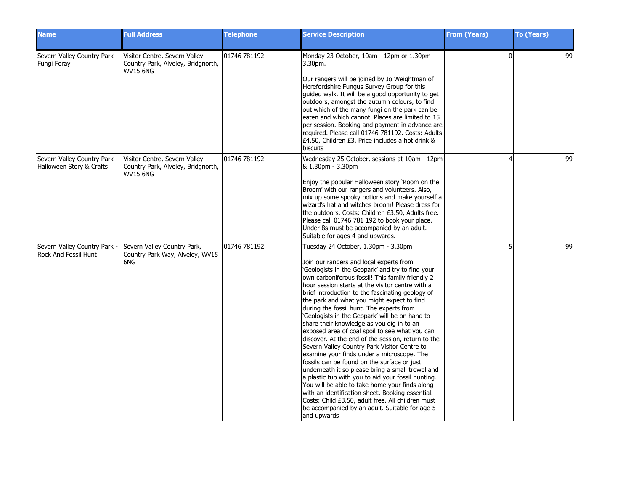| <b>Name</b>                                               | <b>Full Address</b>                                                                    | <b>Telephone</b> | <b>Service Description</b>                                                                                                                                                                                                                                                                                                                                                                                                                                                                                                                                                                                                                                                                                                                                                                                                                                                                                                                                                                                                                                                         | <b>From (Years)</b> | <b>To (Years)</b> |
|-----------------------------------------------------------|----------------------------------------------------------------------------------------|------------------|------------------------------------------------------------------------------------------------------------------------------------------------------------------------------------------------------------------------------------------------------------------------------------------------------------------------------------------------------------------------------------------------------------------------------------------------------------------------------------------------------------------------------------------------------------------------------------------------------------------------------------------------------------------------------------------------------------------------------------------------------------------------------------------------------------------------------------------------------------------------------------------------------------------------------------------------------------------------------------------------------------------------------------------------------------------------------------|---------------------|-------------------|
| Severn Valley Country Park -<br>Fungi Foray               | Visitor Centre, Severn Valley<br>Country Park, Alveley, Bridgnorth,<br><b>WV15 6NG</b> | 01746 781192     | Monday 23 October, 10am - 12pm or 1.30pm -<br>3.30pm.<br>Our rangers will be joined by Jo Weightman of<br>Herefordshire Fungus Survey Group for this<br>guided walk. It will be a good opportunity to get<br>outdoors, amongst the autumn colours, to find<br>out which of the many fungi on the park can be<br>eaten and which cannot. Places are limited to 15<br>per session. Booking and payment in advance are<br>required. Please call 01746 781192. Costs: Adults<br>£4.50, Children £3. Price includes a hot drink &<br>biscuits                                                                                                                                                                                                                                                                                                                                                                                                                                                                                                                                           | $\Omega$            | 99                |
| Severn Valley Country Park -<br>Halloween Story & Crafts  | Visitor Centre, Severn Valley<br>Country Park, Alveley, Bridgnorth,<br>WV15 6NG        | 01746 781192     | Wednesday 25 October, sessions at 10am - 12pm<br>& 1.30pm - 3.30pm<br>Enjoy the popular Halloween story 'Room on the<br>Broom' with our rangers and volunteers. Also,<br>mix up some spooky potions and make yourself a<br>wizard's hat and witches broom! Please dress for<br>the outdoors. Costs: Children £3.50, Adults free.<br>Please call 01746 781 192 to book your place.<br>Under 8s must be accompanied by an adult.<br>Suitable for ages 4 and upwards.                                                                                                                                                                                                                                                                                                                                                                                                                                                                                                                                                                                                                 | 4                   | 99                |
| Severn Valley Country Park<br><b>Rock And Fossil Hunt</b> | Severn Valley Country Park,<br>Country Park Way, Alveley, WV15<br>6NG                  | 01746 781192     | Tuesday 24 October, 1.30pm - 3.30pm<br>Join our rangers and local experts from<br>'Geologists in the Geopark' and try to find your<br>own carboniferous fossil! This family friendly 2<br>hour session starts at the visitor centre with a<br>brief introduction to the fascinating geology of<br>the park and what you might expect to find<br>during the fossil hunt. The experts from<br>'Geologists in the Geopark' will be on hand to<br>share their knowledge as you dig in to an<br>exposed area of coal spoil to see what you can<br>discover. At the end of the session, return to the<br>Severn Valley Country Park Visitor Centre to<br>examine your finds under a microscope. The<br>fossils can be found on the surface or just<br>underneath it so please bring a small trowel and<br>a plastic tub with you to aid your fossil hunting.<br>You will be able to take home your finds along<br>with an identification sheet. Booking essential.<br>Costs: Child £3.50, adult free. All children must<br>be accompanied by an adult. Suitable for age 5<br>and upwards | 5                   | 99                |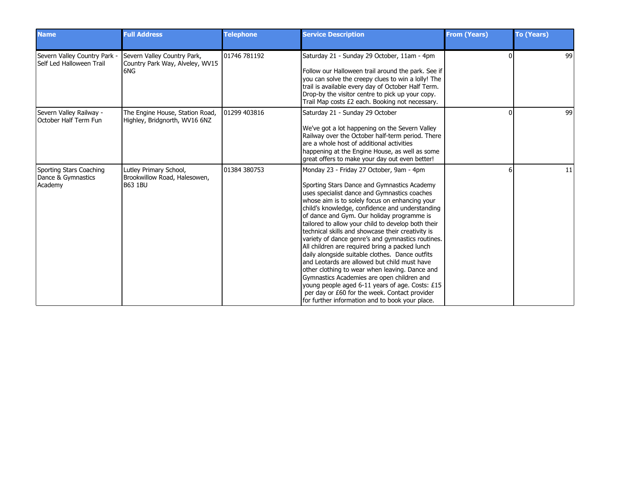| <b>Name</b>                                              | <b>Full Address</b>                                                      | <b>Telephone</b> | <b>Service Description</b>                                                                                                                                                                                                                                                                                                                                                                                                                                                                                                                                                                                                                                                                                                                                                                                                                                             | <b>From (Years)</b> | <b>To (Years)</b> |
|----------------------------------------------------------|--------------------------------------------------------------------------|------------------|------------------------------------------------------------------------------------------------------------------------------------------------------------------------------------------------------------------------------------------------------------------------------------------------------------------------------------------------------------------------------------------------------------------------------------------------------------------------------------------------------------------------------------------------------------------------------------------------------------------------------------------------------------------------------------------------------------------------------------------------------------------------------------------------------------------------------------------------------------------------|---------------------|-------------------|
| Severn Valley Country Park -<br>Self Led Halloween Trail | Severn Valley Country Park,<br>Country Park Way, Alveley, WV15<br>6NG    | 01746 781192     | Saturday 21 - Sunday 29 October, 11am - 4pm<br>Follow our Halloween trail around the park. See if<br>you can solve the creepy clues to win a lolly! The<br>trail is available every day of October Half Term.<br>Drop-by the visitor centre to pick up your copy.<br>Trail Map costs £2 each. Booking not necessary.                                                                                                                                                                                                                                                                                                                                                                                                                                                                                                                                                   |                     | 99                |
| Severn Valley Railway -<br>October Half Term Fun         | The Engine House, Station Road,<br>Highley, Bridgnorth, WV16 6NZ         | 01299 403816     | Saturday 21 - Sunday 29 October<br>We've got a lot happening on the Severn Valley<br>Railway over the October half-term period. There<br>are a whole host of additional activities<br>happening at the Engine House, as well as some<br>great offers to make your day out even better!                                                                                                                                                                                                                                                                                                                                                                                                                                                                                                                                                                                 | ŋ                   | 99                |
| Sporting Stars Coaching<br>Dance & Gymnastics<br>Academy | Lutley Primary School,<br>Brookwillow Road, Halesowen,<br><b>B63 1BU</b> | 01384 380753     | Monday 23 - Friday 27 October, 9am - 4pm<br>Sporting Stars Dance and Gymnastics Academy<br>uses specialist dance and Gymnastics coaches<br>whose aim is to solely focus on enhancing your<br>child's knowledge, confidence and understanding<br>of dance and Gym. Our holiday programme is<br>tailored to allow your child to develop both their<br>technical skills and showcase their creativity is<br>variety of dance genre's and gymnastics routines.<br>All children are required bring a packed lunch<br>daily alongside suitable clothes. Dance outfits<br>and Leotards are allowed but child must have<br>other clothing to wear when leaving. Dance and<br>Gymnastics Academies are open children and<br>young people aged 6-11 years of age. Costs: £15<br>per day or £60 for the week. Contact provider<br>for further information and to book your place. |                     | 11                |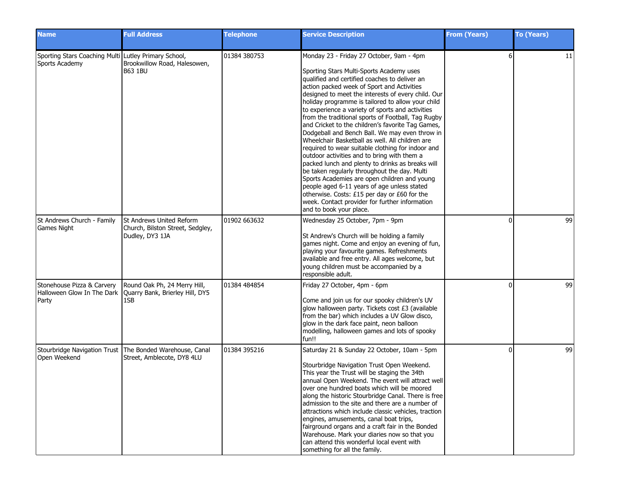| <b>Name</b>                                                            | <b>Full Address</b>                                                             | <b>Telephone</b> | <b>Service Description</b>                                                                                                                                                                                                                                                                                                                                                                                                                                                                                                                                                                                                                                                                                                                                                                                                                                                                                                                                                                             | <b>From (Years)</b> | <b>To (Years)</b> |
|------------------------------------------------------------------------|---------------------------------------------------------------------------------|------------------|--------------------------------------------------------------------------------------------------------------------------------------------------------------------------------------------------------------------------------------------------------------------------------------------------------------------------------------------------------------------------------------------------------------------------------------------------------------------------------------------------------------------------------------------------------------------------------------------------------------------------------------------------------------------------------------------------------------------------------------------------------------------------------------------------------------------------------------------------------------------------------------------------------------------------------------------------------------------------------------------------------|---------------------|-------------------|
| Sporting Stars Coaching Multi Lutley Primary School,<br>Sports Academy | Brookwillow Road, Halesowen,<br><b>B63 1BU</b>                                  | 01384 380753     | Monday 23 - Friday 27 October, 9am - 4pm<br>Sporting Stars Multi-Sports Academy uses<br>qualified and certified coaches to deliver an<br>action packed week of Sport and Activities<br>designed to meet the interests of every child. Our<br>holiday programme is tailored to allow your child<br>to experience a variety of sports and activities<br>from the traditional sports of Football, Tag Rugby<br>and Cricket to the children's favorite Tag Games,<br>Dodgeball and Bench Ball. We may even throw in<br>Wheelchair Basketball as well. All children are<br>required to wear suitable clothing for indoor and<br>outdoor activities and to bring with them a<br>packed lunch and plenty to drinks as breaks will<br>be taken regularly throughout the day. Multi<br>Sports Academies are open children and young<br>people aged 6-11 years of age unless stated<br>otherwise. Costs: £15 per day or £60 for the<br>week. Contact provider for further information<br>and to book your place. | 6                   | 11                |
| St Andrews Church - Family<br>Games Night                              | St Andrews United Reform<br>Church, Bilston Street, Sedgley,<br>Dudley, DY3 1JA | 01902 663632     | Wednesday 25 October, 7pm - 9pm<br>St Andrew's Church will be holding a family<br>games night. Come and enjoy an evening of fun,<br>playing your favourite games. Refreshments<br>available and free entry. All ages welcome, but<br>young children must be accompanied by a<br>responsible adult.                                                                                                                                                                                                                                                                                                                                                                                                                                                                                                                                                                                                                                                                                                     | ŋ                   | 99                |
| Stonehouse Pizza & Carvery<br>Halloween Glow In The Dark<br>Party      | Round Oak Ph, 24 Merry Hill,<br>Quarry Bank, Brierley Hill, DY5<br>1SB          | 01384 484854     | Friday 27 October, 4pm - 6pm<br>Come and join us for our spooky children's UV<br>glow halloween party. Tickets cost £3 (available<br>from the bar) which includes a UV Glow disco,<br>glow in the dark face paint, neon balloon<br>modelling, halloween games and lots of spooky<br>fun!!                                                                                                                                                                                                                                                                                                                                                                                                                                                                                                                                                                                                                                                                                                              | <sup>0</sup>        | 99                |
| Stourbridge Navigation Trust<br>Open Weekend                           | The Bonded Warehouse, Canal<br>Street, Amblecote, DY8 4LU                       | 01384 395216     | Saturday 21 & Sunday 22 October, 10am - 5pm<br>Stourbridge Navigation Trust Open Weekend.<br>This year the Trust will be staging the 34th<br>annual Open Weekend. The event will attract well<br>Jover one hundred boats which will be moored<br>along the historic Stourbridge Canal. There is free<br>admission to the site and there are a number of<br>attractions which include classic vehicles, traction<br>engines, amusements, canal boat trips,<br>fairground organs and a craft fair in the Bonded<br>Warehouse. Mark your diaries now so that you<br>can attend this wonderful local event with<br>something for all the family.                                                                                                                                                                                                                                                                                                                                                           | ŋ                   | 99                |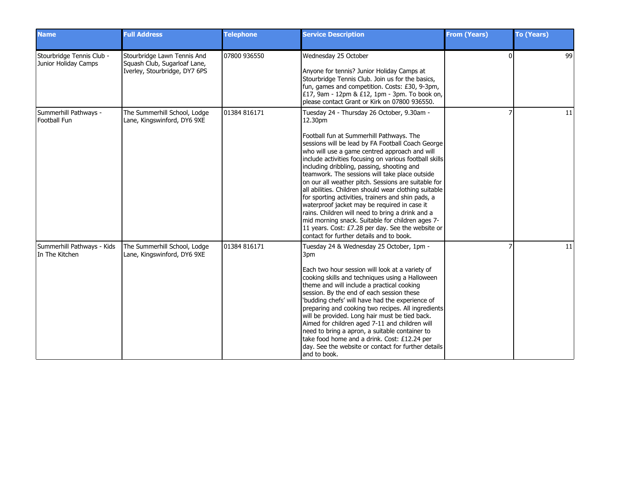| <b>Name</b>                                       | <b>Full Address</b>                                                                          | <b>Telephone</b> | <b>Service Description</b>                                                                                                                                                                                                                                                                                                                                                                                                                                                                                                                                                                                                                                                                                                                                                                       | <b>From (Years)</b> | <b>To (Years)</b> |
|---------------------------------------------------|----------------------------------------------------------------------------------------------|------------------|--------------------------------------------------------------------------------------------------------------------------------------------------------------------------------------------------------------------------------------------------------------------------------------------------------------------------------------------------------------------------------------------------------------------------------------------------------------------------------------------------------------------------------------------------------------------------------------------------------------------------------------------------------------------------------------------------------------------------------------------------------------------------------------------------|---------------------|-------------------|
| Stourbridge Tennis Club -<br>Junior Holiday Camps | Stourbridge Lawn Tennis And<br>Squash Club, Sugarloaf Lane,<br>Iverley, Stourbridge, DY7 6PS | 07800 936550     | Wednesday 25 October<br>Anyone for tennis? Junior Holiday Camps at<br>Stourbridge Tennis Club. Join us for the basics,<br>fun, games and competition. Costs: £30, 9-3pm,<br>£17, 9am - 12pm & £12, 1pm - 3pm. To book on,<br>please contact Grant or Kirk on 07800 936550.                                                                                                                                                                                                                                                                                                                                                                                                                                                                                                                       | $\Omega$            | 99                |
| Summerhill Pathways -<br>Football Fun             | The Summerhill School, Lodge<br>Lane, Kingswinford, DY6 9XE                                  | 01384 816171     | Tuesday 24 - Thursday 26 October, 9.30am -<br>12.30pm<br>Football fun at Summerhill Pathways. The<br>sessions will be lead by FA Football Coach George<br>who will use a game centred approach and will<br>include activities focusing on various football skills<br>including dribbling, passing, shooting and<br>teamwork. The sessions will take place outside<br>on our all weather pitch. Sessions are suitable for<br>all abilities. Children should wear clothing suitable<br>for sporting activities, trainers and shin pads, a<br>waterproof jacket may be required in case it<br>rains. Children will need to bring a drink and a<br>mid morning snack. Suitable for children ages 7-<br>11 years. Cost: £7.28 per day. See the website or<br>contact for further details and to book. |                     | 11                |
| Summerhill Pathways - Kids<br>In The Kitchen      | The Summerhill School, Lodge<br>Lane, Kingswinford, DY6 9XE                                  | 01384 816171     | Tuesday 24 & Wednesday 25 October, 1pm -<br>3pm<br>Each two hour session will look at a variety of<br>cooking skills and techniques using a Halloween<br>theme and will include a practical cooking<br>session. By the end of each session these<br>'budding chefs' will have had the experience of<br>preparing and cooking two recipes. All ingredients<br>will be provided. Long hair must be tied back.<br>Aimed for children aged 7-11 and children will<br>need to bring a apron, a suitable container to<br>take food home and a drink. Cost: £12.24 per<br>day. See the website or contact for further details<br>and to book.                                                                                                                                                           |                     | 11                |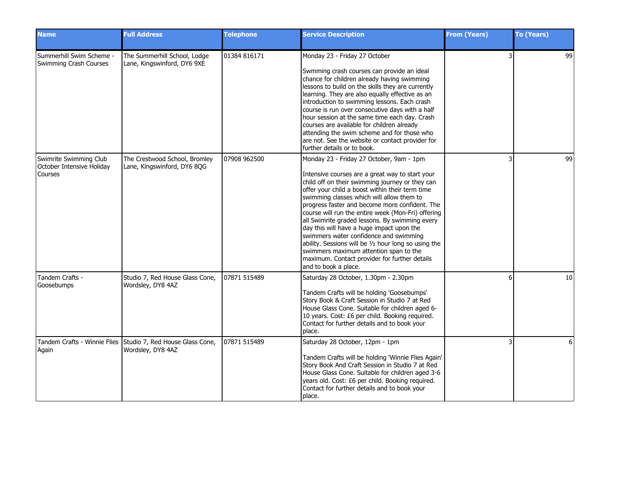| <b>Name</b>                                                    | <b>Full Address</b>                                                               | <b>Telephone</b> | <b>Service Description</b>                                                                                                                                                                                                                                                                                                                                                                                                                                                                                                                                                                                                                                                 | <b>From (Years)</b> | To (Years) |
|----------------------------------------------------------------|-----------------------------------------------------------------------------------|------------------|----------------------------------------------------------------------------------------------------------------------------------------------------------------------------------------------------------------------------------------------------------------------------------------------------------------------------------------------------------------------------------------------------------------------------------------------------------------------------------------------------------------------------------------------------------------------------------------------------------------------------------------------------------------------------|---------------------|------------|
| Summerhill Swim Scheme -<br>Swimming Crash Courses             | The Summerhill School, Lodge<br>Lane, Kingswinford, DY6 9XE                       | 01384 816171     | Monday 23 - Friday 27 October<br>Swmming crash courses can provide an ideal<br>chance for children already having swimming<br>lessons to build on the skills they are currently<br>learning. They are also equally effective as an<br>introduction to swimming lessons. Each crash<br>course is run over consecutive days with a half<br>hour session at the same time each day. Crash<br>courses are available for children already<br>attending the swim scheme and for those who<br>are not. See the website or contact provider for<br>further details or to book.                                                                                                     |                     | 99         |
| Swimrite Swimming Club<br>October Intensive Holiday<br>Courses | The Crestwood School, Bromley<br>Lane, Kingswinford, DY6 8QG                      | 07908 962500     | Monday 23 - Friday 27 October, 9am - 1pm<br>Intensive courses are a great way to start your<br>child off on their swimming journey or they can<br>offer your child a boost within their term time<br>swimming classes which will allow them to<br>progress faster and become more confident. The<br>course will run the entire week (Mon-Fri) offering<br>all Swimrite graded lessons. By swimming every<br>day this will have a huge impact upon the<br>swimmers water confidence and swimming<br>ability. Sessions will be 1/2 hour long so using the<br>swimmers maximum attention span to the<br>maximum. Contact provider for further details<br>and to book a place. |                     | 99         |
| Tandem Crafts -<br>Goosebumps                                  | Studio 7, Red House Glass Cone,<br>Wordsley, DY8 4AZ                              | 07871 515489     | Saturday 28 October, 1.30pm - 2.30pm<br>Tandem Crafts will be holding 'Goosebumps'<br>Story Book & Craft Session in Studio 7 at Red<br>House Glass Cone. Suitable for children aged 6-<br>10 years. Cost: £6 per child. Booking required.<br>Contact for further details and to book your<br>place.                                                                                                                                                                                                                                                                                                                                                                        | 6                   | 10         |
| Again                                                          | Tandem Crafts - Winnie Flies Studio 7, Red House Glass Cone,<br>Wordsley, DY8 4AZ | 07871 515489     | Saturday 28 October, 12pm - 1pm<br>Tandem Crafts will be holding 'Winnie Flies Again'<br>Story Book And Craft Session in Studio 7 at Red<br>House Glass Cone. Suitable for children aged 3-6<br>years old. Cost: £6 per child. Booking required.<br>Contact for further details and to book your<br>I place.                                                                                                                                                                                                                                                                                                                                                               |                     | 6          |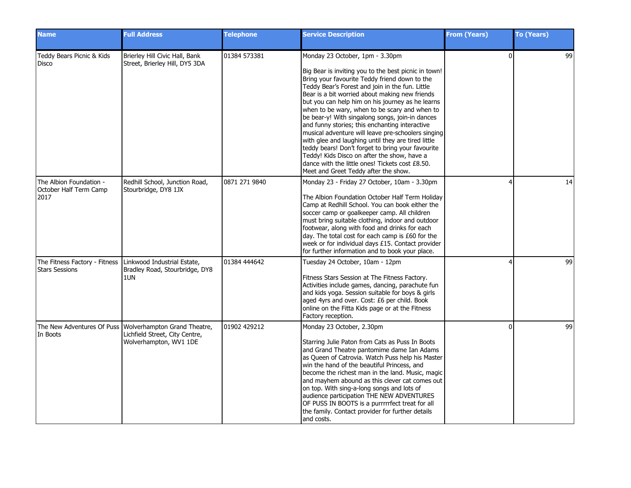| <b>Name</b>                                                                          | <b>Full Address</b>                                                                                                   | <b>Telephone</b> | <b>Service Description</b>                                                                                                                                                                                                                                                                                                                                                                                                                                                                                                                                                                                                                                                                                                                                         | <b>From (Years)</b> | <b>To (Years)</b> |
|--------------------------------------------------------------------------------------|-----------------------------------------------------------------------------------------------------------------------|------------------|--------------------------------------------------------------------------------------------------------------------------------------------------------------------------------------------------------------------------------------------------------------------------------------------------------------------------------------------------------------------------------------------------------------------------------------------------------------------------------------------------------------------------------------------------------------------------------------------------------------------------------------------------------------------------------------------------------------------------------------------------------------------|---------------------|-------------------|
| Teddy Bears Picnic & Kids<br>Disco                                                   | Brierley Hill Civic Hall, Bank<br>Street, Brierley Hill, DY5 3DA                                                      | 01384 573381     | Monday 23 October, 1pm - 3.30pm<br>Big Bear is inviting you to the best picnic in town!<br>Bring your favourite Teddy friend down to the<br>Teddy Bear's Forest and join in the fun. Little<br>Bear is a bit worried about making new friends<br>but you can help him on his journey as he learns<br>when to be wary, when to be scary and when to<br>be bear-y! With singalong songs, join-in dances<br>and funny stories; this enchanting interactive<br>musical adventure will leave pre-schoolers singing<br>with glee and laughing until they are tired little<br>teddy bears! Don't forget to bring your favourite<br>Teddy! Kids Disco on after the show, have a<br>dance with the little ones! Tickets cost £8.50.<br>Meet and Greet Teddy after the show. | $\Omega$            | 99                |
| The Albion Foundation -<br>October Half Term Camp<br>2017                            | Redhill School, Junction Road,<br>Stourbridge, DY8 1JX                                                                | 0871 271 9840    | Monday 23 - Friday 27 October, 10am - 3.30pm<br>The Albion Foundation October Half Term Holiday<br>Camp at Redhill School. You can book either the<br>soccer camp or goalkeeper camp. All children<br>must bring suitable clothing, indoor and outdoor<br>footwear, along with food and drinks for each<br>day. The total cost for each camp is £60 for the<br>week or for individual days £15. Contact provider<br>for further information and to book your place.                                                                                                                                                                                                                                                                                                | $\lambda$           | 14                |
| The Fitness Factory - Fitness   Linkwood Industrial Estate,<br><b>Stars Sessions</b> | Bradley Road, Stourbridge, DY8<br>1UN                                                                                 | 01384 444642     | Tuesday 24 October, 10am - 12pm<br>Fitness Stars Session at The Fitness Factory.<br>Activities include games, dancing, parachute fun<br>and kids yoga. Session suitable for boys & girls<br>aged 4yrs and over. Cost: £6 per child. Book<br>online on the Fitta Kids page or at the Fitness<br>Factory reception.                                                                                                                                                                                                                                                                                                                                                                                                                                                  |                     | 99                |
| In Boots                                                                             | The New Adventures Of Puss   Wolverhampton Grand Theatre,<br>Lichfield Street, City Centre,<br>Wolverhampton, WV1 1DE | 01902 429212     | Monday 23 October, 2.30pm<br>Starring Julie Paton from Cats as Puss In Boots<br>and Grand Theatre pantomime dame Ian Adams<br>as Queen of Catrovia. Watch Puss help his Master<br>win the hand of the beautiful Princess, and<br>become the richest man in the land. Music, magic<br>and mayhem abound as this clever cat comes out<br>on top. With sing-a-long songs and lots of<br>audience participation THE NEW ADVENTURES<br>OF PUSS IN BOOTS is a purrrrrfect treat for all<br>the family. Contact provider for further details<br>and costs.                                                                                                                                                                                                                | $\Omega$            | 99                |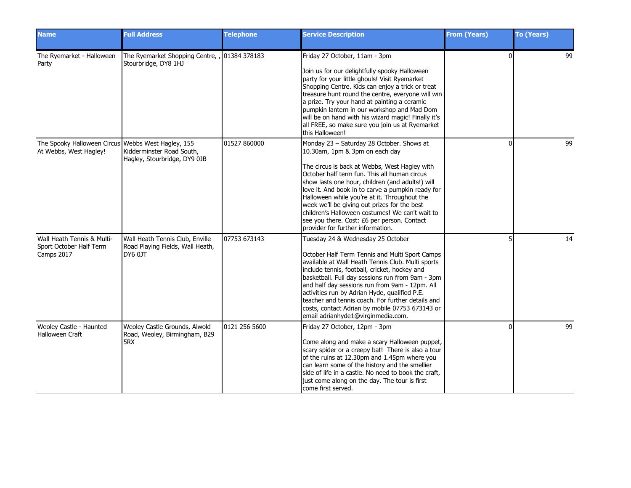| <b>Name</b>                                                                  | <b>Full Address</b>                                                                   | <b>Telephone</b> | <b>Service Description</b>                                                                                                                                                                                                                                                                                                                                                                                                                                                                                                   | <b>From (Years)</b> | <b>To (Years)</b> |
|------------------------------------------------------------------------------|---------------------------------------------------------------------------------------|------------------|------------------------------------------------------------------------------------------------------------------------------------------------------------------------------------------------------------------------------------------------------------------------------------------------------------------------------------------------------------------------------------------------------------------------------------------------------------------------------------------------------------------------------|---------------------|-------------------|
| The Ryemarket - Halloween<br>Party                                           | The Ryemarket Shopping Centre, , 01384 378183<br>Stourbridge, DY8 1HJ                 |                  | Friday 27 October, 11am - 3pm<br>Join us for our delightfully spooky Halloween<br>party for your little ghouls! Visit Ryemarket<br>Shopping Centre. Kids can enjoy a trick or treat<br>treasure hunt round the centre, everyone will win<br>a prize. Try your hand at painting a ceramic<br>pumpkin lantern in our workshop and Mad Dom<br>will be on hand with his wizard magic! Finally it's<br>all FREE, so make sure you join us at Ryemarket<br>this Halloween!                                                         | $\Omega$            | 99                |
| The Spooky Halloween Circus Webbs West Hagley, 155<br>At Webbs, West Hagley! | Kidderminster Road South,<br>Hagley, Stourbridge, DY9 0JB                             | 01527 860000     | Monday 23 - Saturday 28 October. Shows at<br>10.30am, 1pm & 3pm on each day<br>The circus is back at Webbs, West Hagley with<br>October half term fun. This all human circus<br>show lasts one hour, children (and adults!) will<br>love it. And book in to carve a pumpkin ready for<br>Halloween while you're at it. Throughout the<br>week we'll be giving out prizes for the best<br>children's Halloween costumes! We can't wait to<br>see you there. Cost: £6 per person. Contact<br>provider for further information. | $\Omega$            | 99                |
| Wall Heath Tennis & Multi-<br>Sport October Half Term<br>Camps 2017          | Wall Heath Tennis Club, Enville<br>Road Playing Fields, Wall Heath,<br><b>DY6 0JT</b> | 07753 673143     | Tuesday 24 & Wednesday 25 October<br>October Half Term Tennis and Multi Sport Camps<br>available at Wall Heath Tennis Club. Multi sports<br>include tennis, football, cricket, hockey and<br>basketball. Full day sessions run from 9am - 3pm<br>and half day sessions run from 9am - 12pm. All<br>activities run by Adrian Hyde, qualified P.E.<br>teacher and tennis coach. For further details and<br>costs, contact Adrian by mobile 07753 673143 or<br>email adrianhyde1@virginmedia.com.                               |                     | 14                |
| Weoley Castle - Haunted<br><b>Halloween Craft</b>                            | Weoley Castle Grounds, Alwold<br>Road, Weoley, Birmingham, B29<br>5RX                 | 0121 256 5600    | Friday 27 October, 12pm - 3pm<br>Come along and make a scary Halloween puppet,<br>scary spider or a creepy bat! There is also a tour<br>of the ruins at 12.30pm and 1.45pm where you<br>can learn some of the history and the smellier<br>side of life in a castle. No need to book the craft,<br>just come along on the day. The tour is first<br>come first served.                                                                                                                                                        | n                   | 99                |